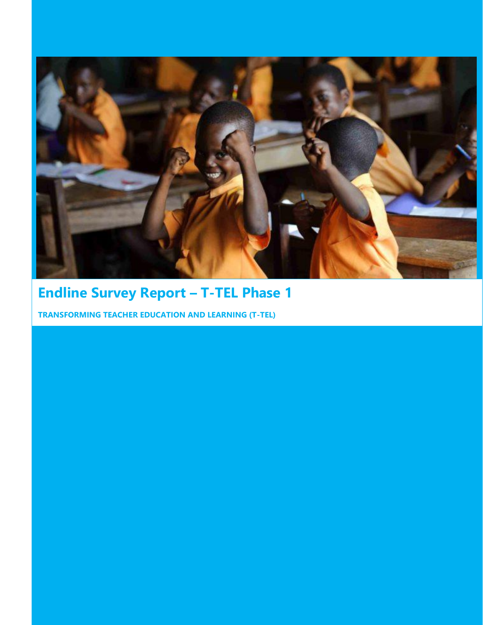

# **Endline Survey Report – T-TEL Phase 1**

**TRANSFORMING TEACHER EDUCATION AND LEARNING (T-TEL)**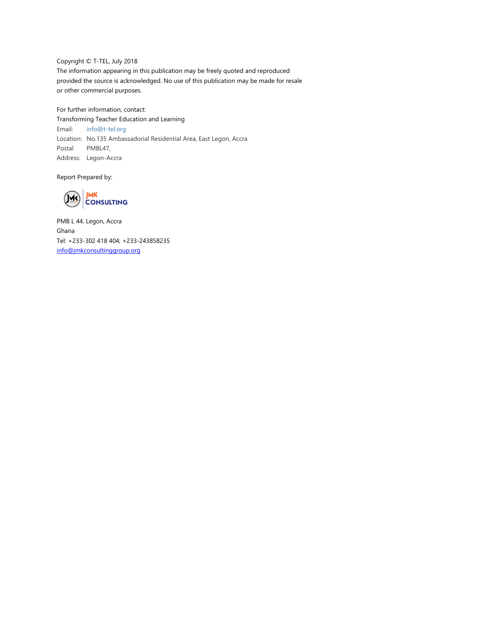Copyright © T-TEL, July 2018 The information appearing in this publication may be freely quoted and reproduced provided the source is acknowledged. No use of this publication may be made for resale or other commercial purposes.

For further information, contact: Transforming Teacher Education and Learning Email: [info@t-tel.org](mailto:info@t-tel.org) Location: No.135 Ambassadorial Residential Area, East Legon, Accra Postal Address: Legon-Accra PMBL47,

Report Prepared by:



PMB L 44, Legon, Accra Ghana Tel: +233-302 418 404; +233-243858235 [info@jmkconsultinggroup.org](mailto:info@jmkconsultinggroup.org)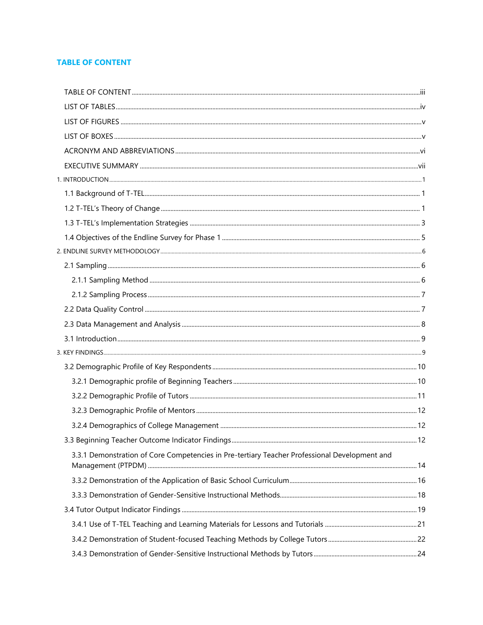## <span id="page-2-0"></span>**TABLE OF CONTENT**

| 3.3.1 Demonstration of Core Competencies in Pre-tertiary Teacher Professional Development and |  |
|-----------------------------------------------------------------------------------------------|--|
|                                                                                               |  |
|                                                                                               |  |
|                                                                                               |  |
|                                                                                               |  |
|                                                                                               |  |
|                                                                                               |  |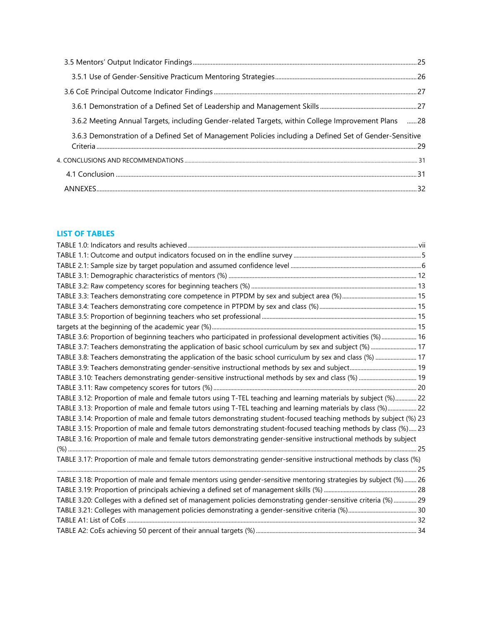| 3.6.2 Meeting Annual Targets, including Gender-related Targets, within College Improvement Plans 28     |  |
|---------------------------------------------------------------------------------------------------------|--|
| 3.6.3 Demonstration of a Defined Set of Management Policies including a Defined Set of Gender-Sensitive |  |
|                                                                                                         |  |
|                                                                                                         |  |
|                                                                                                         |  |

## <span id="page-3-0"></span>**LIST OF TABLES**

| TABLE 3.6: Proportion of beginning teachers who participated in professional development activities (%)  16        |  |
|--------------------------------------------------------------------------------------------------------------------|--|
| TABLE 3.7: Teachers demonstrating the application of basic school curriculum by sex and subject (%)  17            |  |
| TABLE 3.8: Teachers demonstrating the application of the basic school curriculum by sex and class (%)  17          |  |
|                                                                                                                    |  |
|                                                                                                                    |  |
|                                                                                                                    |  |
| TABLE 3.12: Proportion of male and female tutors using T-TEL teaching and learning materials by subject (%) 22     |  |
| TABLE 3.13: Proportion of male and female tutors using T-TEL teaching and learning materials by class (%) 22       |  |
| TABLE 3.14: Proportion of male and female tutors demonstrating student-focused teaching methods by subject (%) 23  |  |
| TABLE 3.15: Proportion of male and female tutors demonstrating student-focused teaching methods by class (%) 23    |  |
| TABLE 3.16: Proportion of male and female tutors demonstrating gender-sensitive instructional methods by subject   |  |
|                                                                                                                    |  |
| TABLE 3.17: Proportion of male and female tutors demonstrating gender-sensitive instructional methods by class (%) |  |
|                                                                                                                    |  |
| TABLE 3.18: Proportion of male and female mentors using gender-sensitive mentoring strategies by subject (%) 26    |  |
|                                                                                                                    |  |
| TABLE 3.20: Colleges with a defined set of management policies demonstrating gender-sensitive criteria (%)  29     |  |
|                                                                                                                    |  |
|                                                                                                                    |  |
|                                                                                                                    |  |
|                                                                                                                    |  |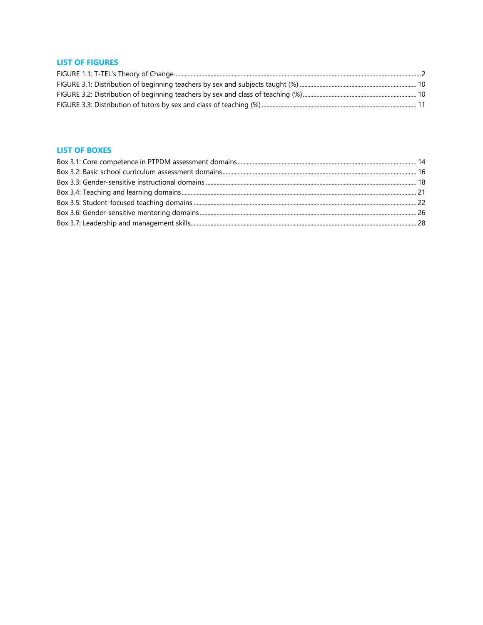## <span id="page-4-0"></span>**LIST OF FIGURES**

## <span id="page-4-1"></span>**LIST OF BOXES**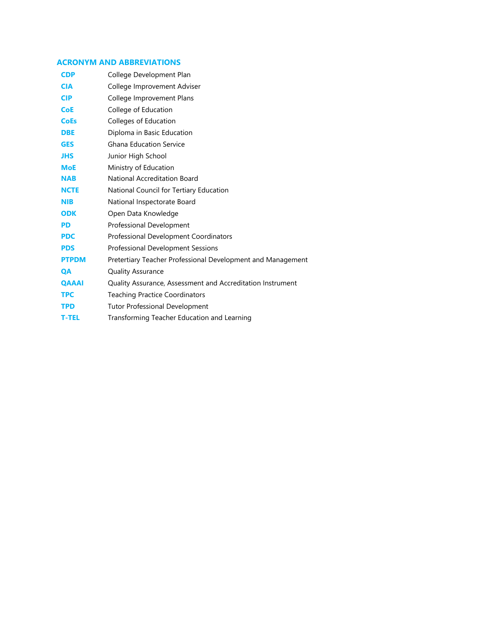## <span id="page-5-0"></span>**ACRONYM AND ABBREVIATIONS**

| <b>CDP</b>   | College Development Plan                                    |
|--------------|-------------------------------------------------------------|
| <b>CIA</b>   | College Improvement Adviser                                 |
| <b>CIP</b>   | College Improvement Plans                                   |
| <b>CoE</b>   | College of Education                                        |
| <b>CoEs</b>  | Colleges of Education                                       |
| <b>DBE</b>   | Diploma in Basic Education                                  |
| <b>GES</b>   | <b>Ghana Education Service</b>                              |
| <b>JHS</b>   | Junior High School                                          |
| <b>MoE</b>   | Ministry of Education                                       |
| <b>NAB</b>   | National Accreditation Board                                |
| <b>NCTE</b>  | National Council for Tertiary Education                     |
| <b>NIB</b>   | National Inspectorate Board                                 |
| <b>ODK</b>   | Open Data Knowledge                                         |
| <b>PD</b>    | Professional Development                                    |
| <b>PDC</b>   | Professional Development Coordinators                       |
| <b>PDS</b>   | Professional Development Sessions                           |
| <b>PTPDM</b> | Pretertiary Teacher Professional Development and Management |
| <b>QA</b>    | <b>Quality Assurance</b>                                    |
| <b>OAAAI</b> | Quality Assurance, Assessment and Accreditation Instrument  |
| <b>TPC</b>   | <b>Teaching Practice Coordinators</b>                       |
| <b>TPD</b>   | <b>Tutor Professional Development</b>                       |
| <b>T-TEL</b> | Transforming Teacher Education and Learning                 |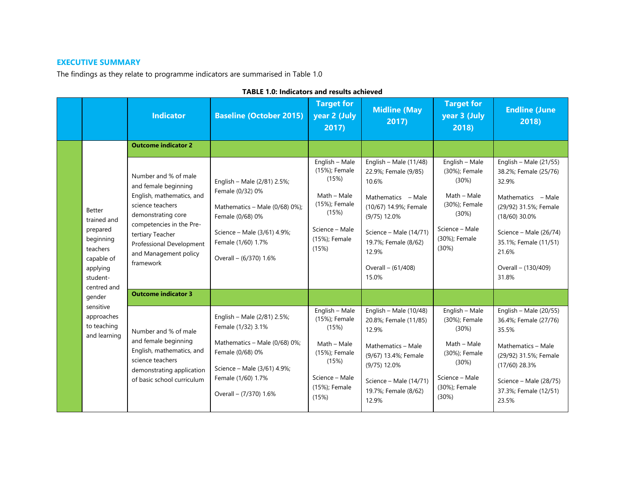## **EXECUTIVE SUMMARY**

The findings as they relate to programme indicators are summarised in Table 1.0

<span id="page-6-1"></span><span id="page-6-0"></span>

|                                                                                 |                                                                                                         | <b>Indicator</b>                                                                                                                                                                                                                      | <b>Baseline (October 2015)</b>                                                                                                                                                         | <b>Target for</b><br>year 2 (July<br>2017)                                                                                    | <b>Midline (May</b><br>2017)                                                                                                                                                                                         | <b>Target for</b><br>year 3 (July<br>2018)                                                                                    | <b>Endline (June</b><br>2018)                                                                                                                                                                                            |
|---------------------------------------------------------------------------------|---------------------------------------------------------------------------------------------------------|---------------------------------------------------------------------------------------------------------------------------------------------------------------------------------------------------------------------------------------|----------------------------------------------------------------------------------------------------------------------------------------------------------------------------------------|-------------------------------------------------------------------------------------------------------------------------------|----------------------------------------------------------------------------------------------------------------------------------------------------------------------------------------------------------------------|-------------------------------------------------------------------------------------------------------------------------------|--------------------------------------------------------------------------------------------------------------------------------------------------------------------------------------------------------------------------|
|                                                                                 |                                                                                                         | <b>Outcome indicator 2</b>                                                                                                                                                                                                            |                                                                                                                                                                                        |                                                                                                                               |                                                                                                                                                                                                                      |                                                                                                                               |                                                                                                                                                                                                                          |
|                                                                                 | <b>Better</b><br>trained and<br>prepared<br>beginning<br>teachers<br>capable of<br>applying<br>student- | Number and % of male<br>and female beginning<br>English, mathematics, and<br>science teachers<br>demonstrating core<br>competencies in the Pre-<br>tertiary Teacher<br>Professional Development<br>and Management policy<br>framework | English - Male (2/81) 2.5%;<br>Female (0/32) 0%<br>Mathematics - Male $(0/68)$ 0%);<br>Female (0/68) 0%<br>Science - Male (3/61) 4.9%;<br>Female (1/60) 1.7%<br>Overall - (6/370) 1.6% | English - Male<br>(15%); Female<br>(15%)<br>Math - Male<br>(15%); Female<br>(15%)<br>Science - Male<br>(15%); Female<br>(15%) | English - Male $(11/48)$<br>22.9%; Female (9/85)<br>10.6%<br>Mathematics - Male<br>(10/67) 14.9%; Female<br>$(9/75)$ 12.0%<br>Science - Male (14/71)<br>19.7%; Female (8/62)<br>12.9%<br>Overall - (61/408)<br>15.0% | English - Male<br>(30%); Female<br>(30%)<br>Math - Male<br>(30%); Female<br>(30%)<br>Science - Male<br>(30%); Female<br>(30%) | English - Male $(21/55)$<br>38.2%; Female (25/76)<br>32.9%<br>Mathematics - Male<br>(29/92) 31.5%; Female<br>$(18/60)$ 30.0%<br>Science - Male (26/74)<br>35.1%; Female (11/51)<br>21.6%<br>Overall - (130/409)<br>31.8% |
| centred and<br>gender<br>sensitive<br>approaches<br>to teaching<br>and learning | <b>Outcome indicator 3</b>                                                                              |                                                                                                                                                                                                                                       |                                                                                                                                                                                        |                                                                                                                               |                                                                                                                                                                                                                      |                                                                                                                               |                                                                                                                                                                                                                          |
|                                                                                 |                                                                                                         | Number and % of male<br>and female beginning<br>English, mathematics, and<br>science teachers<br>demonstrating application<br>of basic school curriculum                                                                              | English - Male (2/81) 2.5%;<br>Female (1/32) 3.1%<br>Mathematics - Male (0/68) 0%;<br>Female (0/68) 0%<br>Science - Male (3/61) 4.9%;<br>Female (1/60) 1.7%<br>Overall - (7/370) 1.6%  | English - Male<br>(15%); Female<br>(15%)<br>Math - Male<br>(15%); Female<br>(15%)<br>Science - Male<br>(15%); Female<br>(15%) | English - Male $(10/48)$<br>20.8%; Female (11/85)<br>12.9%<br>Mathematics - Male<br>(9/67) 13.4%; Female<br>$(9/75)$ 12.0%<br>Science - Male (14/71)<br>19.7%; Female (8/62)<br>12.9%                                | English - Male<br>(30%); Female<br>(30%)<br>Math - Male<br>(30%); Female<br>(30%)<br>Science - Male<br>(30%); Female<br>(30%) | English - Male (20/55)<br>36.4%; Female (27/76)<br>35.5%<br>Mathematics - Male<br>(29/92) 31.5%; Female<br>$(17/60)$ 28.3%<br>Science - Male (28/75)<br>37.3%; Female (12/51)<br>23.5%                                   |

## **TABLE 1.0: Indicators and results achieved**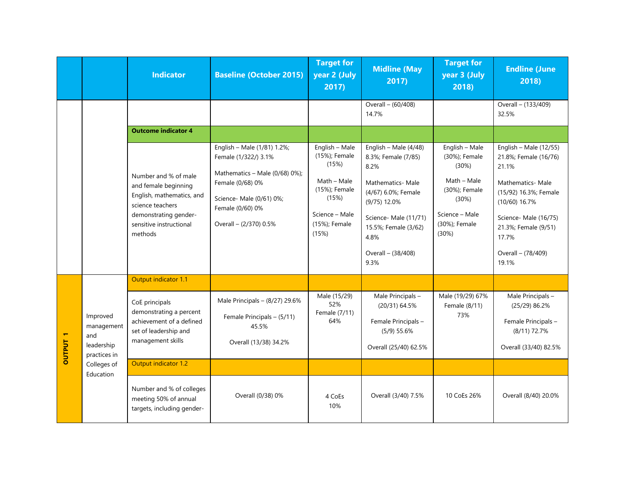|                                 |                                                             | <b>Indicator</b>                                                                                                                                             | <b>Baseline (October 2015)</b>                                                                                                                                                      | <b>Target for</b><br>year 2 (July<br>2017)                                                                                    | <b>Midline (May</b><br>2017                                                                                                                                                                              | <b>Target for</b><br>year 3 (July<br>2018)                                                                                    | <b>Endline (June</b><br>2018)                                                                                                                                                                                       |
|---------------------------------|-------------------------------------------------------------|--------------------------------------------------------------------------------------------------------------------------------------------------------------|-------------------------------------------------------------------------------------------------------------------------------------------------------------------------------------|-------------------------------------------------------------------------------------------------------------------------------|----------------------------------------------------------------------------------------------------------------------------------------------------------------------------------------------------------|-------------------------------------------------------------------------------------------------------------------------------|---------------------------------------------------------------------------------------------------------------------------------------------------------------------------------------------------------------------|
|                                 |                                                             |                                                                                                                                                              |                                                                                                                                                                                     |                                                                                                                               | Overall - (60/408)<br>14.7%                                                                                                                                                                              |                                                                                                                               | Overall - (133/409)<br>32.5%                                                                                                                                                                                        |
|                                 |                                                             | <b>Outcome indicator 4</b>                                                                                                                                   |                                                                                                                                                                                     |                                                                                                                               |                                                                                                                                                                                                          |                                                                                                                               |                                                                                                                                                                                                                     |
|                                 |                                                             | Number and % of male<br>and female beginning<br>English, mathematics, and<br>science teachers<br>demonstrating gender-<br>sensitive instructional<br>methods | English - Male (1/81) 1.2%;<br>Female (1/322/) 3.1%<br>Mathematics - Male (0/68) 0%);<br>Female (0/68) 0%<br>Science- Male (0/61) 0%;<br>Female (0/60) 0%<br>Overall - (2/370) 0.5% | English - Male<br>(15%); Female<br>(15%)<br>Math - Male<br>(15%); Female<br>(15%)<br>Science - Male<br>(15%); Female<br>(15%) | English - Male (4/48)<br>8.3%; Female (7/85)<br>8.2%<br>Mathematics- Male<br>(4/67) 6.0%; Female<br>$(9/75)$ 12.0%<br>Science-Male (11/71)<br>15.5%; Female (3/62)<br>4.8%<br>Overall - (38/408)<br>9.3% | English - Male<br>(30%); Female<br>(30%)<br>Math - Male<br>(30%); Female<br>(30%)<br>Science - Male<br>(30%); Female<br>(30%) | English - Male $(12/55)$<br>21.8%; Female (16/76)<br>21.1%<br>Mathematics- Male<br>(15/92) 16.3%; Female<br>$(10/60)$ 16.7%<br>Science-Male (16/75)<br>21.3%; Female (9/51)<br>17.7%<br>Overall - (78/409)<br>19.1% |
|                                 |                                                             | Output indicator 1.1                                                                                                                                         |                                                                                                                                                                                     |                                                                                                                               |                                                                                                                                                                                                          |                                                                                                                               |                                                                                                                                                                                                                     |
| $\blacksquare$<br><b>DUTPUT</b> | Improved<br>management<br>and<br>leadership<br>practices in | CoE principals<br>demonstrating a percent<br>achievement of a defined<br>set of leadership and<br>management skills                                          | Male Principals $-$ (8/27) 29.6%<br>Female Principals - (5/11)<br>45.5%<br>Overall (13/38) 34.2%                                                                                    | Male (15/29)<br>52%<br>Female (7/11)<br>64%                                                                                   | Male Principals -<br>(20/31) 64.5%<br>Female Principals-<br>$(5/9)$ 55.6%<br>Overall (25/40) 62.5%                                                                                                       | Male (19/29) 67%<br>Female (8/11)<br>73%                                                                                      | Male Principals -<br>$(25/29)$ 86.2%<br>Female Principals-<br>(8/11) 72.7%<br>Overall (33/40) 82.5%                                                                                                                 |
|                                 | Colleges of                                                 | Output indicator 1.2                                                                                                                                         |                                                                                                                                                                                     |                                                                                                                               |                                                                                                                                                                                                          |                                                                                                                               |                                                                                                                                                                                                                     |
|                                 | Education                                                   | Number and % of colleges<br>meeting 50% of annual<br>targets, including gender-                                                                              | Overall (0/38) 0%                                                                                                                                                                   | 4 CoEs<br>10%                                                                                                                 | Overall (3/40) 7.5%                                                                                                                                                                                      | 10 CoEs 26%                                                                                                                   | Overall (8/40) 20.0%                                                                                                                                                                                                |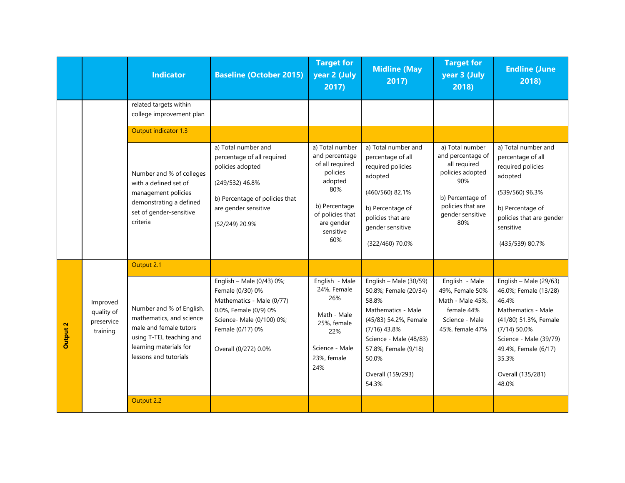|          |                                                  | <b>Indicator</b>                                                                                                                                              | <b>Baseline (October 2015)</b>                                                                                                                                               | <b>Target for</b><br>year 2 (July<br>2017)                                                                                                                | <b>Midline (May</b><br>2017)                                                                                                                                                                                         | <b>Target for</b><br>year 3 (July<br>2018)                                                                                                          | <b>Endline (June</b><br>2018)                                                                                                                                                                                        |
|----------|--------------------------------------------------|---------------------------------------------------------------------------------------------------------------------------------------------------------------|------------------------------------------------------------------------------------------------------------------------------------------------------------------------------|-----------------------------------------------------------------------------------------------------------------------------------------------------------|----------------------------------------------------------------------------------------------------------------------------------------------------------------------------------------------------------------------|-----------------------------------------------------------------------------------------------------------------------------------------------------|----------------------------------------------------------------------------------------------------------------------------------------------------------------------------------------------------------------------|
|          |                                                  | related targets within<br>college improvement plan                                                                                                            |                                                                                                                                                                              |                                                                                                                                                           |                                                                                                                                                                                                                      |                                                                                                                                                     |                                                                                                                                                                                                                      |
|          |                                                  | Output indicator 1.3                                                                                                                                          |                                                                                                                                                                              |                                                                                                                                                           |                                                                                                                                                                                                                      |                                                                                                                                                     |                                                                                                                                                                                                                      |
|          |                                                  | Number and % of colleges<br>with a defined set of<br>management policies<br>demonstrating a defined<br>set of gender-sensitive<br>criteria                    | a) Total number and<br>percentage of all required<br>policies adopted<br>(249/532) 46.8%<br>b) Percentage of policies that<br>are gender sensitive<br>(52/249) 20.9%         | a) Total number<br>and percentage<br>of all required<br>policies<br>adopted<br>80%<br>b) Percentage<br>of policies that<br>are gender<br>sensitive<br>60% | a) Total number and<br>percentage of all<br>required policies<br>adopted<br>(460/560) 82.1%<br>b) Percentage of<br>policies that are<br>gender sensitive<br>(322/460) 70.0%                                          | a) Total number<br>and percentage of<br>all required<br>policies adopted<br>90%<br>b) Percentage of<br>policies that are<br>gender sensitive<br>80% | a) Total number and<br>percentage of all<br>required policies<br>adopted<br>(539/560) 96.3%<br>b) Percentage of<br>policies that are gender<br>sensitive<br>(435/539) 80.7%                                          |
|          |                                                  | Output 2.1                                                                                                                                                    |                                                                                                                                                                              |                                                                                                                                                           |                                                                                                                                                                                                                      |                                                                                                                                                     |                                                                                                                                                                                                                      |
| Dutput 2 | Improved<br>quality of<br>preservice<br>training | Number and % of English,<br>mathematics, and science<br>male and female tutors<br>using T-TEL teaching and<br>learning materials for<br>lessons and tutorials | English - Male (0/43) 0%;<br>Female (0/30) 0%<br>Mathematics - Male (0/77)<br>0.0%, Female (0/9) 0%<br>Science- Male (0/100) 0%;<br>Female (0/17) 0%<br>Overall (0/272) 0.0% | English - Male<br>24%, Female<br>26%<br>Math - Male<br>25%, female<br>22%<br>Science - Male<br>23%, female<br>24%                                         | English - Male $(30/59)$<br>50.8%; Female (20/34)<br>58.8%<br>Mathematics - Male<br>(45/83) 54.2%, Female<br>$(7/16)$ 43.8%<br>Science - Male (48/83)<br>57.8%, Female (9/18)<br>50.0%<br>Overall (159/293)<br>54.3% | English - Male<br>49%, Female 50%<br>Math - Male 45%,<br>female 44%<br>Science - Male<br>45%, female 47%                                            | English - Male $(29/63)$<br>46.0%; Female (13/28)<br>46.4%<br>Mathematics - Male<br>(41/80) 51.3%, Female<br>$(7/14)$ 50.0%<br>Science - Male (39/79)<br>49.4%, Female (6/17)<br>35.3%<br>Overall (135/281)<br>48.0% |
|          |                                                  | Output 2.2                                                                                                                                                    |                                                                                                                                                                              |                                                                                                                                                           |                                                                                                                                                                                                                      |                                                                                                                                                     |                                                                                                                                                                                                                      |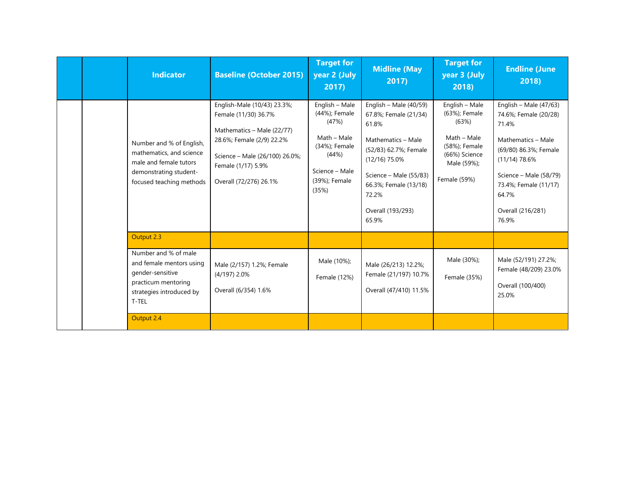|  | <b>Indicator</b>                                                                                                                     | <b>Baseline (October 2015)</b>                                                                                                                                                                   | <b>Target for</b><br>year 2 (July<br>2017)                                                                                    | <b>Midline (May</b><br>2017)                                                                                                                                                                                           | <b>Target for</b><br>year 3 (July<br>2018)                                                                               | <b>Endline (June</b><br>2018)                                                                                                                                                                                          |
|--|--------------------------------------------------------------------------------------------------------------------------------------|--------------------------------------------------------------------------------------------------------------------------------------------------------------------------------------------------|-------------------------------------------------------------------------------------------------------------------------------|------------------------------------------------------------------------------------------------------------------------------------------------------------------------------------------------------------------------|--------------------------------------------------------------------------------------------------------------------------|------------------------------------------------------------------------------------------------------------------------------------------------------------------------------------------------------------------------|
|  | Number and % of English,<br>mathematics, and science<br>male and female tutors<br>demonstrating student-<br>focused teaching methods | English-Male (10/43) 23.3%;<br>Female (11/30) 36.7%<br>Mathematics - Male (22/77)<br>28.6%; Female (2/9) 22.2%<br>Science - Male (26/100) 26.0%;<br>Female (1/17) 5.9%<br>Overall (72/276) 26.1% | English - Male<br>(44%); Female<br>(47%)<br>Math - Male<br>(34%); Female<br>(44%)<br>Science - Male<br>(39%); Female<br>(35%) | English - Male $(40/59)$<br>67.8%; Female (21/34)<br>61.8%<br>Mathematics - Male<br>(52/83) 62.7%; Female<br>$(12/16)$ 75.0%<br>Science - Male (55/83)<br>66.3%; Female (13/18)<br>72.2%<br>Overall (193/293)<br>65.9% | English - Male<br>(63%); Female<br>(63%)<br>Math - Male<br>(58%); Female<br>(66%) Science<br>Male (59%);<br>Female (59%) | English - Male $(47/63)$<br>74.6%; Female (20/28)<br>71.4%<br>Mathematics - Male<br>(69/80) 86.3%; Female<br>$(11/14)$ 78.6%<br>Science - Male (58/79)<br>73.4%; Female (11/17)<br>64.7%<br>Overall (216/281)<br>76.9% |
|  | Output 2.3                                                                                                                           |                                                                                                                                                                                                  |                                                                                                                               |                                                                                                                                                                                                                        |                                                                                                                          |                                                                                                                                                                                                                        |
|  | Number and % of male<br>and female mentors using<br>gender-sensitive<br>practicum mentoring<br>strategies introduced by<br>T-TEL     | Male (2/157) 1.2%; Female<br>$(4/197)$ 2.0%<br>Overall (6/354) 1.6%                                                                                                                              | Male (10%);<br>Female (12%)                                                                                                   | Male (26/213) 12.2%;<br>Female (21/197) 10.7%<br>Overall (47/410) 11.5%                                                                                                                                                | Male (30%);<br>Female (35%)                                                                                              | Male (52/191) 27.2%;<br>Female (48/209) 23.0%<br>Overall (100/400)<br>25.0%                                                                                                                                            |
|  | Output 2.4                                                                                                                           |                                                                                                                                                                                                  |                                                                                                                               |                                                                                                                                                                                                                        |                                                                                                                          |                                                                                                                                                                                                                        |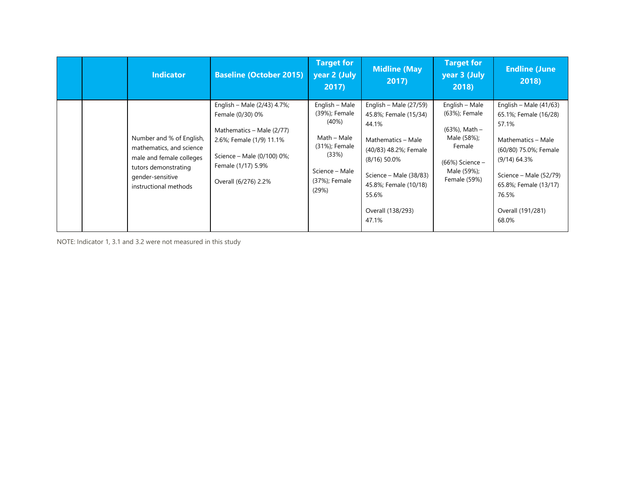|  | <b>Indicator</b>                                                                                                                                      | <b>Baseline (October 2015)</b>                                                                                                                                                       | <b>Target for</b><br>year 2 (July<br>2017)                                                                                    | <b>Midline (May</b><br>2017)                                                                                                                                                                                          | <b>Target for</b><br>year 3 (July<br>2018)                                                                                  | <b>Endline (June</b><br>2018)                                                                                                                                                                                         |
|--|-------------------------------------------------------------------------------------------------------------------------------------------------------|--------------------------------------------------------------------------------------------------------------------------------------------------------------------------------------|-------------------------------------------------------------------------------------------------------------------------------|-----------------------------------------------------------------------------------------------------------------------------------------------------------------------------------------------------------------------|-----------------------------------------------------------------------------------------------------------------------------|-----------------------------------------------------------------------------------------------------------------------------------------------------------------------------------------------------------------------|
|  | Number and % of English,<br>mathematics, and science<br>male and female colleges<br>tutors demonstrating<br>gender-sensitive<br>instructional methods | English - Male (2/43) 4.7%;<br>Female (0/30) 0%<br>Mathematics - Male (2/77)<br>2.6%; Female (1/9) 11.1%<br>Science - Male (0/100) 0%;<br>Female (1/17) 5.9%<br>Overall (6/276) 2.2% | English - Male<br>(39%); Female<br>(40%)<br>Math - Male<br>(31%); Female<br>(33%)<br>Science - Male<br>(37%); Female<br>(29%) | English – Male $(27/59)$<br>45.8%; Female (15/34)<br>44.1%<br>Mathematics - Male<br>(40/83) 48.2%; Female<br>$(8/16)$ 50.0%<br>Science – Male (38/83)<br>45.8%; Female (10/18)<br>55.6%<br>Overall (138/293)<br>47.1% | English - Male<br>(63%); Female<br>(63%), Math -<br>Male (58%);<br>Female<br>(66%) Science -<br>Male (59%);<br>Female (59%) | English – Male $(41/63)$<br>65.1%; Female (16/28)<br>57.1%<br>Mathematics - Male<br>(60/80) 75.0%; Female<br>$(9/14)$ 64.3%<br>Science - Male (52/79)<br>65.8%; Female (13/17)<br>76.5%<br>Overall (191/281)<br>68.0% |

NOTE: Indicator 1, 3.1 and 3.2 were not measured in this study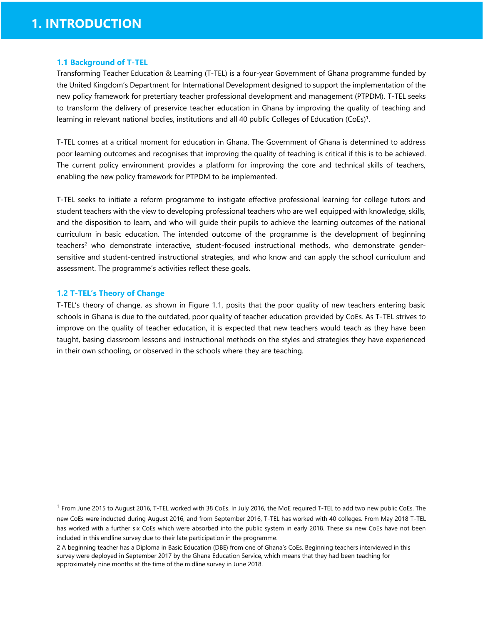#### <span id="page-11-0"></span>**1.1 Background of T-TEL**

Transforming Teacher Education & Learning (T-TEL) is a four-year Government of Ghana programme funded by the United Kingdom's Department for International Development designed to support the implementation of the new policy framework for pretertiary teacher professional development and management (PTPDM). T-TEL seeks to transform the delivery of preservice teacher education in Ghana by improving the quality of teaching and learning in relevant national bodies, institutions and all 40 public Colleges of Education (CoEs)<sup>1</sup>.

T-TEL comes at a critical moment for education in Ghana. The Government of Ghana is determined to address poor learning outcomes and recognises that improving the quality of teaching is critical if this is to be achieved. The current policy environment provides a platform for improving the core and technical skills of teachers, enabling the new policy framework for PTPDM to be implemented.

T-TEL seeks to initiate a reform programme to instigate effective professional learning for college tutors and student teachers with the view to developing professional teachers who are well equipped with knowledge, skills, and the disposition to learn, and who will guide their pupils to achieve the learning outcomes of the national curriculum in basic education. The intended outcome of the programme is the development of beginning teachers<sup>2</sup> who demonstrate interactive, student-focused instructional methods, who demonstrate gendersensitive and student-centred instructional strategies, and who know and can apply the school curriculum and assessment. The programme's activities reflect these goals.

#### <span id="page-11-1"></span>**1.2 T-TEL's Theory of Change**

l

T-TEL's theory of change, as shown in Figure 1.1, posits that the poor quality of new teachers entering basic schools in Ghana is due to the outdated, poor quality of teacher education provided by CoEs. As T-TEL strives to improve on the quality of teacher education, it is expected that new teachers would teach as they have been taught, basing classroom lessons and instructional methods on the styles and strategies they have experienced in their own schooling, or observed in the schools where they are teaching.

<sup>&</sup>lt;sup>1</sup> From June 2015 to August 2016, T-TEL worked with 38 CoEs. In July 2016, the MoE required T-TEL to add two new public CoEs. The new CoEs were inducted during August 2016, and from September 2016, T-TEL has worked with 40 colleges. From May 2018 T-TEL has worked with a further six CoEs which were absorbed into the public system in early 2018. These six new CoEs have not been included in this endline survey due to their late participation in the programme.

<sup>2</sup> A beginning teacher has a Diploma in Basic Education (DBE) from one of Ghana's CoEs. Beginning teachers interviewed in this survey were deployed in September 2017 by the Ghana Education Service, which means that they had been teaching for approximately nine months at the time of the midline survey in June 2018.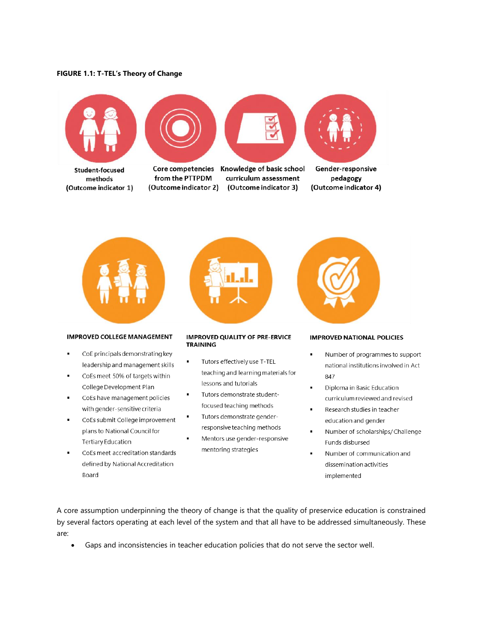#### <span id="page-12-0"></span>**FIGURE 1.1: T-TEL's Theory of Change**









Student-focused methods (Outcome indicator 1)

Core competencies from the PTTPDM (Outcome indicator 2)

Knowledge of basic school curriculum assessment (Outcome indicator 3)

Gender-responsive pedagogy (Outcome indicator 4)



#### **IMPROVED COLLEGE MANAGEMENT**

- CoE principals demonstrating key  $\blacksquare$ leadership and management skills
- CoEs meet 50% of targets within College Development Plan
- CoEs have management policies with gender-sensitive criteria
- CoEs submit College improvement plans to National Council for **Tertiary Education**
- CoEs meet accreditation standards defined by National Accreditation Board

#### **IMPROVED QUALITY OF PRE-ERVICE TRAINING**

- Tutors effectively use T-TEL teaching and learning materials for lessons and tutorials
- Tutors demonstrate studentfocused teaching methods
- Tutors demonstrate genderresponsive teaching methods
- Mentors use gender-responsive mentoring strategies

#### **IMPROVED NATIONAL POLICIES**

- Number of programmes to support national institutions involved in Act 847
- Diploma in Basic Education curriculum reviewed and revised
- Research studies in teacher education and gender
- Number of scholarships/Challenge Funds disbursed
- Number of communication and dissemination activities implemented

A core assumption underpinning the theory of change is that the quality of preservice education is constrained by several factors operating at each level of the system and that all have to be addressed simultaneously. These are:

• Gaps and inconsistencies in teacher education policies that do not serve the sector well.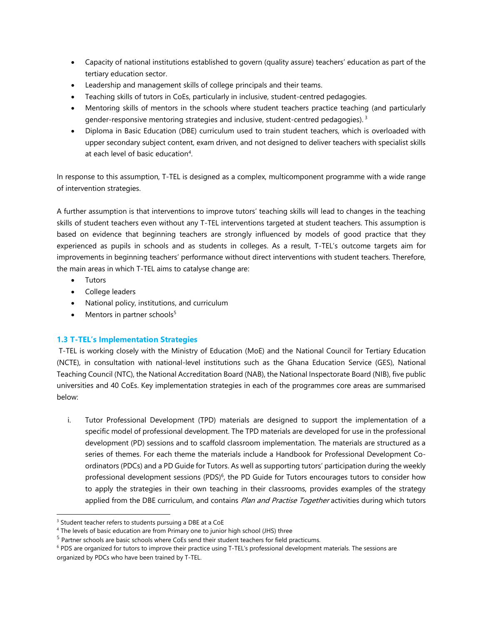- Capacity of national institutions established to govern (quality assure) teachers' education as part of the tertiary education sector.
- Leadership and management skills of college principals and their teams.
- Teaching skills of tutors in CoEs, particularly in inclusive, student-centred pedagogies.
- Mentoring skills of mentors in the schools where student teachers practice teaching (and particularly gender-responsive mentoring strategies and inclusive, student-centred pedagogies).<sup>3</sup>
- Diploma in Basic Education (DBE) curriculum used to train student teachers, which is overloaded with upper secondary subject content, exam driven, and not designed to deliver teachers with specialist skills at each level of basic education<sup>4</sup>.

In response to this assumption, T-TEL is designed as a complex, multicomponent programme with a wide range of intervention strategies.

A further assumption is that interventions to improve tutors' teaching skills will lead to changes in the teaching skills of student teachers even without any T-TEL interventions targeted at student teachers. This assumption is based on evidence that beginning teachers are strongly influenced by models of good practice that they experienced as pupils in schools and as students in colleges. As a result, T-TEL's outcome targets aim for improvements in beginning teachers' performance without direct interventions with student teachers. Therefore, the main areas in which T-TEL aims to catalyse change are:

• Tutors

l

- College leaders
- National policy, institutions, and curriculum
- Mentors in partner schools<sup>5</sup>

## <span id="page-13-0"></span>**1.3 T-TEL's Implementation Strategies**

T-TEL is working closely with the Ministry of Education (MoE) and the National Council for Tertiary Education (NCTE), in consultation with national-level institutions such as the Ghana Education Service (GES), National Teaching Council (NTC), the National Accreditation Board (NAB), the National Inspectorate Board (NIB), five public universities and 40 CoEs. Key implementation strategies in each of the programmes core areas are summarised below:

i. Tutor Professional Development (TPD) materials are designed to support the implementation of a specific model of professional development. The TPD materials are developed for use in the professional development (PD) sessions and to scaffold classroom implementation. The materials are structured as a series of themes. For each theme the materials include a Handbook for Professional Development Coordinators (PDCs) and a PD Guide for Tutors. As well as supporting tutors' participation during the weekly professional development sessions (PDS)<sup>6</sup>, the PD Guide for Tutors encourages tutors to consider how to apply the strategies in their own teaching in their classrooms, provides examples of the strategy applied from the DBE curriculum, and contains Plan and Practise Together activities during which tutors

<sup>&</sup>lt;sup>3</sup> Student teacher refers to students pursuing a DBE at a CoE

<sup>&</sup>lt;sup>4</sup> The levels of basic education are from Primary one to junior high school (JHS) three

 $<sup>5</sup>$  Partner schools are basic schools where CoEs send their student teachers for field practicums.</sup>

<sup>6</sup> PDS are organized for tutors to improve their practice using T-TEL's professional development materials. The sessions are organized by PDCs who have been trained by T-TEL.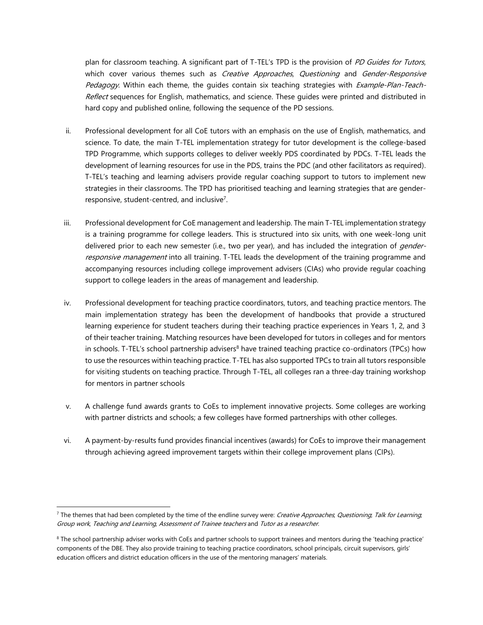plan for classroom teaching. A significant part of T-TEL's TPD is the provision of PD Guides for Tutors, which cover various themes such as Creative Approaches, Questioning and Gender-Responsive Pedagogy. Within each theme, the guides contain six teaching strategies with *Example-Plan-Teach-*Reflect sequences for English, mathematics, and science. These guides were printed and distributed in hard copy and published online, following the sequence of the PD sessions.

- ii. Professional development for all CoE tutors with an emphasis on the use of English, mathematics, and science. To date, the main T-TEL implementation strategy for tutor development is the college-based TPD Programme, which supports colleges to deliver weekly PDS coordinated by PDCs. T-TEL leads the development of learning resources for use in the PDS, trains the PDC (and other facilitators as required). T-TEL's teaching and learning advisers provide regular coaching support to tutors to implement new strategies in their classrooms. The TPD has prioritised teaching and learning strategies that are genderresponsive, student-centred, and inclusive<sup>7</sup>.
- iii. Professional development for CoE management and leadership. The main T-TEL implementation strategy is a training programme for college leaders. This is structured into six units, with one week-long unit delivered prior to each new semester (i.e., two per year), and has included the integration of *gender*responsive management into all training. T-TEL leads the development of the training programme and accompanying resources including college improvement advisers (CIAs) who provide regular coaching support to college leaders in the areas of management and leadership.
- iv. Professional development for teaching practice coordinators, tutors, and teaching practice mentors. The main implementation strategy has been the development of handbooks that provide a structured learning experience for student teachers during their teaching practice experiences in Years 1, 2, and 3 of their teacher training. Matching resources have been developed for tutors in colleges and for mentors in schools. T-TEL's school partnership advisers<sup>8</sup> have trained teaching practice co-ordinators (TPCs) how to use the resources within teaching practice. T-TEL has also supported TPCs to train all tutors responsible for visiting students on teaching practice. Through T-TEL, all colleges ran a three-day training workshop for mentors in partner schools
- v. A challenge fund awards grants to CoEs to implement innovative projects. Some colleges are working with partner districts and schools; a few colleges have formed partnerships with other colleges.
- vi. A payment-by-results fund provides financial incentives (awards) for CoEs to improve their management through achieving agreed improvement targets within their college improvement plans (CIPs).

l

<sup>&</sup>lt;sup>7</sup> The themes that had been completed by the time of the endline survey were: Creative Approaches, Questioning, Talk for Learning, Group work, Teaching and Learning, Assessment of Trainee teachers and Tutor as a researcher.

<sup>&</sup>lt;sup>8</sup> The school partnership adviser works with CoEs and partner schools to support trainees and mentors during the 'teaching practice' components of the DBE. They also provide training to teaching practice coordinators, school principals, circuit supervisors, girls' education officers and district education officers in the use of the mentoring managers' materials.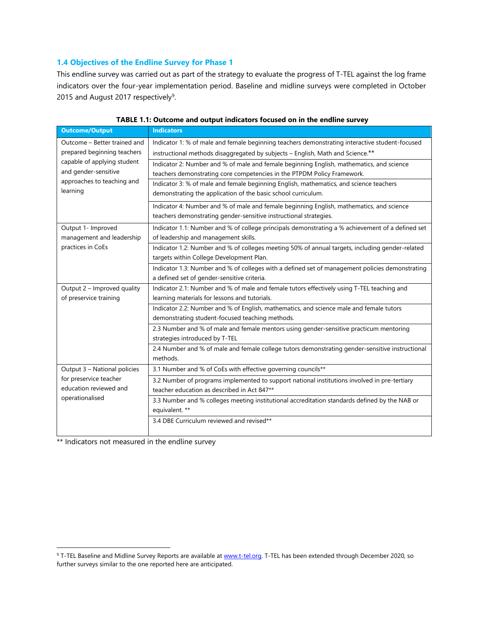## <span id="page-15-0"></span>**1.4 Objectives of the Endline Survey for Phase 1**

This endline survey was carried out as part of the strategy to evaluate the progress of T-TEL against the log frame indicators over the four-year implementation period. Baseline and midline surveys were completed in October 2015 and August 2017 respectively $9$ .

| <b>Outcome/Output</b>        | <b>Indicators</b>                                                                                |  |  |  |  |  |
|------------------------------|--------------------------------------------------------------------------------------------------|--|--|--|--|--|
| Outcome - Better trained and | Indicator 1: % of male and female beginning teachers demonstrating interactive student-focused   |  |  |  |  |  |
| prepared beginning teachers  | instructional methods disaggregated by subjects - English, Math and Science.**                   |  |  |  |  |  |
| capable of applying student  | Indicator 2: Number and % of male and female beginning English, mathematics, and science         |  |  |  |  |  |
| and gender-sensitive         | teachers demonstrating core competencies in the PTPDM Policy Framework.                          |  |  |  |  |  |
| approaches to teaching and   | Indicator 3: % of male and female beginning English, mathematics, and science teachers           |  |  |  |  |  |
| learning                     | demonstrating the application of the basic school curriculum.                                    |  |  |  |  |  |
|                              | Indicator 4: Number and % of male and female beginning English, mathematics, and science         |  |  |  |  |  |
|                              | teachers demonstrating gender-sensitive instructional strategies.                                |  |  |  |  |  |
| Output 1- Improved           | Indicator 1.1: Number and % of college principals demonstrating a % achievement of a defined set |  |  |  |  |  |
| management and leadership    | of leadership and management skills.                                                             |  |  |  |  |  |
| practices in CoEs            | Indicator 1.2: Number and % of colleges meeting 50% of annual targets, including gender-related  |  |  |  |  |  |
|                              | targets within College Development Plan.                                                         |  |  |  |  |  |
|                              | Indicator 1.3: Number and % of colleges with a defined set of management policies demonstrating  |  |  |  |  |  |
|                              | a defined set of gender-sensitive criteria.                                                      |  |  |  |  |  |
| Output 2 - Improved quality  | Indicator 2.1: Number and % of male and female tutors effectively using T-TEL teaching and       |  |  |  |  |  |
| of preservice training       | learning materials for lessons and tutorials.                                                    |  |  |  |  |  |
|                              | Indicator 2.2: Number and % of English, mathematics, and science male and female tutors          |  |  |  |  |  |
|                              | demonstrating student-focused teaching methods.                                                  |  |  |  |  |  |
|                              | 2.3 Number and % of male and female mentors using gender-sensitive practicum mentoring           |  |  |  |  |  |
|                              | strategies introduced by T-TEL                                                                   |  |  |  |  |  |
|                              | 2.4 Number and % of male and female college tutors demonstrating gender-sensitive instructional  |  |  |  |  |  |
|                              | methods.                                                                                         |  |  |  |  |  |
| Output 3 - National policies | 3.1 Number and % of CoEs with effective governing councils**                                     |  |  |  |  |  |
| for preservice teacher       | 3.2 Number of programs implemented to support national institutions involved in pre-tertiary     |  |  |  |  |  |
| education reviewed and       | teacher education as described in Act 847**                                                      |  |  |  |  |  |
| operationalised              | 3.3 Number and % colleges meeting institutional accreditation standards defined by the NAB or    |  |  |  |  |  |
|                              | equivalent. **                                                                                   |  |  |  |  |  |
|                              | 3.4 DBE Curriculum reviewed and revised**                                                        |  |  |  |  |  |
|                              |                                                                                                  |  |  |  |  |  |

<span id="page-15-1"></span>

\*\* Indicators not measured in the endline survey

l

<sup>&</sup>lt;sup>9</sup> T-TEL Baseline and Midline Survey Reports are available at [www.t-tel.org.](http://www.t-tel.org/) T-TEL has been extended through December 2020, so further surveys similar to the one reported here are anticipated.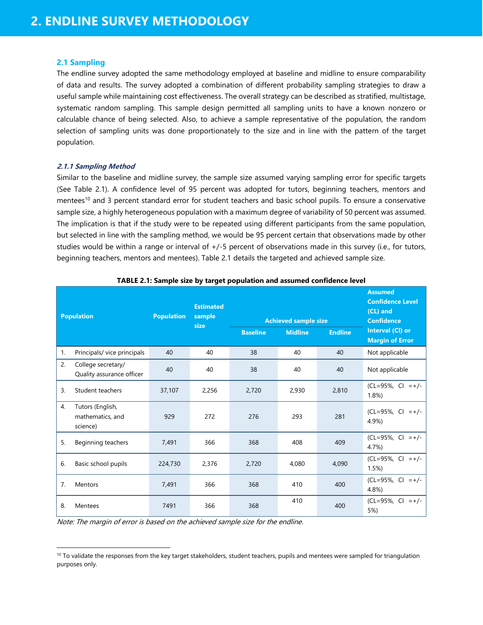#### <span id="page-16-0"></span>**2.1 Sampling**

The endline survey adopted the same methodology employed at baseline and midline to ensure comparability of data and results. The survey adopted a combination of different probability sampling strategies to draw a useful sample while maintaining cost effectiveness. The overall strategy can be described as stratified, multistage, systematic random sampling. This sample design permitted all sampling units to have a known nonzero or calculable chance of being selected. Also, to achieve a sample representative of the population, the random selection of sampling units was done proportionately to the size and in line with the pattern of the target population.

#### <span id="page-16-1"></span>**2.1.1 Sampling Method**

l

Similar to the baseline and midline survey, the sample size assumed varying sampling error for specific targets (See Table 2.1). A confidence level of 95 percent was adopted for tutors, beginning teachers, mentors and mentees<sup>10</sup> and 3 percent standard error for student teachers and basic school pupils. To ensure a conservative sample size, a highly heterogeneous population with a maximum degree of variability of 50 percent was assumed. The implication is that if the study were to be repeated using different participants from the same population, but selected in line with the sampling method, we would be 95 percent certain that observations made by other studies would be within a range or interval of +/-5 percent of observations made in this survey (i.e., for tutors, beginning teachers, mentors and mentees). Table 2.1 details the targeted and achieved sample size.

<span id="page-16-2"></span>

|    | <b>Population</b>                                | <b>Population</b> | <b>Estimated</b><br>sample<br>size |                 | <b>Achieved sample size</b> |                | <b>Assumed</b><br><b>Confidence Level</b><br>(CL) and<br><b>Confidence</b> |
|----|--------------------------------------------------|-------------------|------------------------------------|-----------------|-----------------------------|----------------|----------------------------------------------------------------------------|
|    |                                                  |                   |                                    | <b>Baseline</b> | <b>Midline</b>              | <b>Endline</b> | Interval (CI) or<br><b>Margin of Error</b>                                 |
| 1. | Principals/ vice principals                      | 40                | 40                                 | 38              | 40                          | 40             | Not applicable                                                             |
| 2. | College secretary/<br>Quality assurance officer  | 40                | 40                                 | 38              | 40                          | 40             | Not applicable                                                             |
| 3. | Student teachers                                 | 37,107            | 2,256                              | 2,720           | 2,930                       | 2,810          | $(CL=95\%, CI = +/-$<br>1.8%                                               |
| 4. | Tutors (English,<br>mathematics, and<br>science) | 929               | 272                                | 276             | 293                         | 281            | (CL=95%, CI<br>$= +/-$<br>4.9%)                                            |
| 5. | Beginning teachers                               | 7,491             | 366                                | 368             | 408                         | 409            | $(CL=95\%, CI = +/-$<br>4.7%                                               |
| 6. | Basic school pupils                              | 224,730           | 2,376                              | 2,720           | 4,080                       | 4,090          | $(CL=95\%, CI = +/-$<br>1.5%                                               |
| 7. | <b>Mentors</b>                                   | 7,491             | 366                                | 368             | 410                         | 400            | $(CL=95\%, CI = +/-$<br>4.8%)                                              |
| 8. | Mentees                                          | 7491              | 366                                | 368             | 410                         | 400            | (CL=95%, CI<br>$= +/-$<br>5%)                                              |

|  |  | TABLE 2.1: Sample size by target population and assumed confidence level |
|--|--|--------------------------------------------------------------------------|
|--|--|--------------------------------------------------------------------------|

Note: The margin of error is based on the achieved sample size for the endline.

 $10$  To validate the responses from the key target stakeholders, student teachers, pupils and mentees were sampled for triangulation purposes only.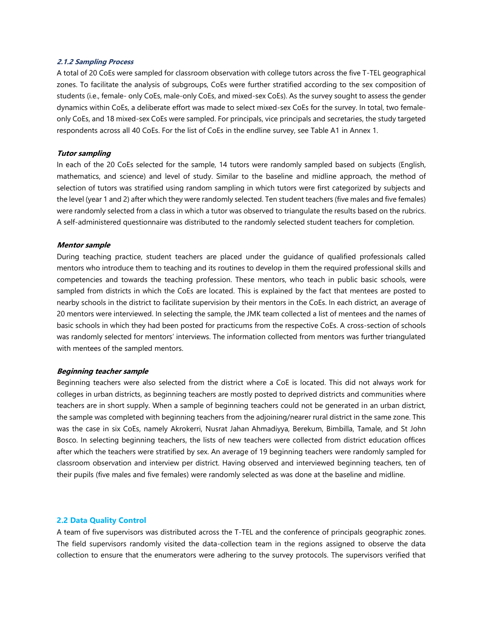#### <span id="page-17-0"></span>**2.1.2 Sampling Process**

A total of 20 CoEs were sampled for classroom observation with college tutors across the five T-TEL geographical zones. To facilitate the analysis of subgroups, CoEs were further stratified according to the sex composition of students (i.e., female- only CoEs, male-only CoEs, and mixed-sex CoEs). As the survey sought to assess the gender dynamics within CoEs, a deliberate effort was made to select mixed-sex CoEs for the survey. In total, two femaleonly CoEs, and 18 mixed-sex CoEs were sampled. For principals, vice principals and secretaries, the study targeted respondents across all 40 CoEs. For the list of CoEs in the endline survey, see Table A1 in Annex 1.

#### **Tutor sampling**

In each of the 20 CoEs selected for the sample, 14 tutors were randomly sampled based on subjects (English, mathematics, and science) and level of study. Similar to the baseline and midline approach, the method of selection of tutors was stratified using random sampling in which tutors were first categorized by subjects and the level (year 1 and 2) after which they were randomly selected. Ten student teachers (five males and five females) were randomly selected from a class in which a tutor was observed to triangulate the results based on the rubrics. A self-administered questionnaire was distributed to the randomly selected student teachers for completion.

#### **Mentor sample**

During teaching practice, student teachers are placed under the guidance of qualified professionals called mentors who introduce them to teaching and its routines to develop in them the required professional skills and competencies and towards the teaching profession. These mentors, who teach in public basic schools, were sampled from districts in which the CoEs are located. This is explained by the fact that mentees are posted to nearby schools in the district to facilitate supervision by their mentors in the CoEs. In each district, an average of 20 mentors were interviewed. In selecting the sample, the JMK team collected a list of mentees and the names of basic schools in which they had been posted for practicums from the respective CoEs. A cross-section of schools was randomly selected for mentors' interviews. The information collected from mentors was further triangulated with mentees of the sampled mentors.

#### **Beginning teacher sample**

Beginning teachers were also selected from the district where a CoE is located. This did not always work for colleges in urban districts, as beginning teachers are mostly posted to deprived districts and communities where teachers are in short supply. When a sample of beginning teachers could not be generated in an urban district, the sample was completed with beginning teachers from the adjoining/nearer rural district in the same zone. This was the case in six CoEs, namely Akrokerri, Nusrat Jahan Ahmadiyya, Berekum, Bimbilla, Tamale, and St John Bosco. In selecting beginning teachers, the lists of new teachers were collected from district education offices after which the teachers were stratified by sex. An average of 19 beginning teachers were randomly sampled for classroom observation and interview per district. Having observed and interviewed beginning teachers, ten of their pupils (five males and five females) were randomly selected as was done at the baseline and midline.

#### <span id="page-17-1"></span>**2.2 Data Quality Control**

A team of five supervisors was distributed across the T-TEL and the conference of principals geographic zones. The field supervisors randomly visited the data-collection team in the regions assigned to observe the data collection to ensure that the enumerators were adhering to the survey protocols. The supervisors verified that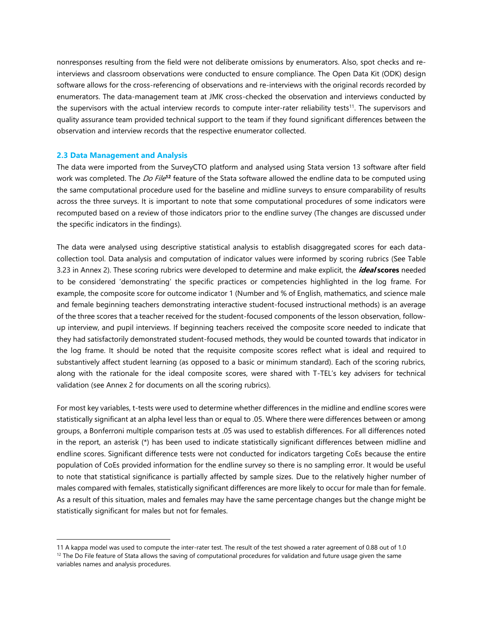nonresponses resulting from the field were not deliberate omissions by enumerators. Also, spot checks and reinterviews and classroom observations were conducted to ensure compliance. The Open Data Kit (ODK) design software allows for the cross-referencing of observations and re-interviews with the original records recorded by enumerators. The data-management team at JMK cross-checked the observation and interviews conducted by the supervisors with the actual interview records to compute inter-rater reliability tests<sup>11</sup>. The supervisors and quality assurance team provided technical support to the team if they found significant differences between the observation and interview records that the respective enumerator collected.

#### <span id="page-18-0"></span>**2.3 Data Management and Analysis**

l

The data were imported from the SurveyCTO platform and analysed using Stata version 13 software after field work was completed. The *Do File*<sup>12</sup> feature of the Stata software allowed the endline data to be computed using the same computational procedure used for the baseline and midline surveys to ensure comparability of results across the three surveys. It is important to note that some computational procedures of some indicators were recomputed based on a review of those indicators prior to the endline survey (The changes are discussed under the specific indicators in the findings).

The data were analysed using descriptive statistical analysis to establish disaggregated scores for each datacollection tool. Data analysis and computation of indicator values were informed by scoring rubrics (See Table 3.23 in Annex 2). These scoring rubrics were developed to determine and make explicit, the **ideal scores** needed to be considered 'demonstrating' the specific practices or competencies highlighted in the log frame. For example, the composite score for outcome indicator 1 (Number and % of English, mathematics, and science male and female beginning teachers demonstrating interactive student-focused instructional methods) is an average of the three scores that a teacher received for the student-focused components of the lesson observation, followup interview, and pupil interviews. If beginning teachers received the composite score needed to indicate that they had satisfactorily demonstrated student-focused methods, they would be counted towards that indicator in the log frame. It should be noted that the requisite composite scores reflect what is ideal and required to substantively affect student learning (as opposed to a basic or minimum standard). Each of the scoring rubrics, along with the rationale for the ideal composite scores, were shared with T-TEL's key advisers for technical validation (see Annex 2 for documents on all the scoring rubrics).

For most key variables, t-tests were used to determine whether differences in the midline and endline scores were statistically significant at an alpha level less than or equal to .05. Where there were differences between or among groups, a Bonferroni multiple comparison tests at .05 was used to establish differences. For all differences noted in the report, an asterisk (\*) has been used to indicate statistically significant differences between midline and endline scores. Significant difference tests were not conducted for indicators targeting CoEs because the entire population of CoEs provided information for the endline survey so there is no sampling error. It would be useful to note that statistical significance is partially affected by sample sizes. Due to the relatively higher number of males compared with females, statistically significant differences are more likely to occur for male than for female. As a result of this situation, males and females may have the same percentage changes but the change might be statistically significant for males but not for females.

<sup>11</sup> A kappa model was used to compute the inter-rater test. The result of the test showed a rater agreement of 0.88 out of 1.0  $12$  The Do File feature of Stata allows the saving of computational procedures for validation and future usage given the same variables names and analysis procedures.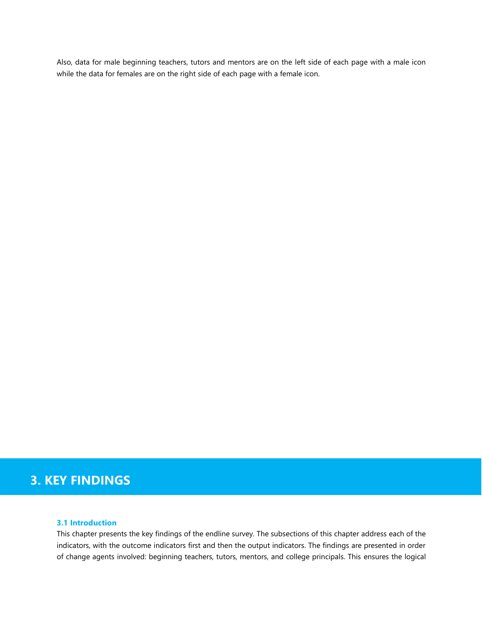Also, data for male beginning teachers, tutors and mentors are on the left side of each page with a male icon while the data for females are on the right side of each page with a female icon.

## **3. KEY FINDINGS**

## <span id="page-19-0"></span>**3.1 Introduction**

This chapter presents the key findings of the endline survey. The subsections of this chapter address each of the indicators, with the outcome indicators first and then the output indicators. The findings are presented in order of change agents involved: beginning teachers, tutors, mentors, and college principals. This ensures the logical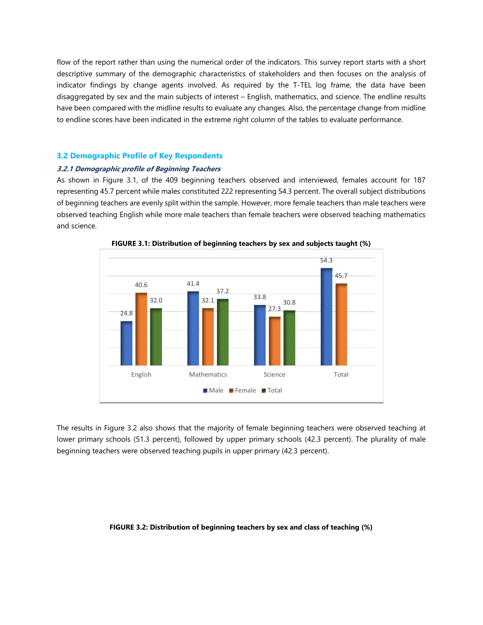flow of the report rather than using the numerical order of the indicators. This survey report starts with a short descriptive summary of the demographic characteristics of stakeholders and then focuses on the analysis of indicator findings by change agents involved. As required by the T-TEL log frame, the data have been disaggregated by sex and the main subjects of interest – English, mathematics, and science. The endline results have been compared with the midline results to evaluate any changes. Also, the percentage change from midline to endline scores have been indicated in the extreme right column of the tables to evaluate performance.

#### <span id="page-20-0"></span>**3.2 Demographic Profile of Key Respondents**

#### <span id="page-20-1"></span>**3.2.1 Demographic profile of Beginning Teachers**

As shown in Figure 3.1, of the 409 beginning teachers observed and interviewed, females account for 187 representing 45.7 percent while males constituted 222 representing 54.3 percent. The overall subject distributions of beginning teachers are evenly split within the sample. However, more female teachers than male teachers were observed teaching English while more male teachers than female teachers were observed teaching mathematics and science.

<span id="page-20-2"></span>

**FIGURE 3.1: Distribution of beginning teachers by sex and subjects taught (%)**

The results in Figure 3.2 also shows that the majority of female beginning teachers were observed teaching at lower primary schools (51.3 percent), followed by upper primary schools (42.3 percent). The plurality of male beginning teachers were observed teaching pupils in upper primary (42.3 percent).

#### <span id="page-20-3"></span>**FIGURE 3.2: Distribution of beginning teachers by sex and class of teaching (%)**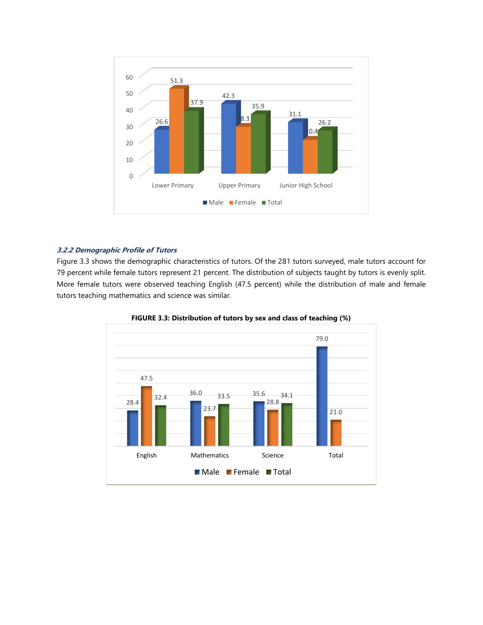

#### <span id="page-21-0"></span>**3.2.2 Demographic Profile of Tutors**

Figure 3.3 shows the demographic characteristics of tutors. Of the 281 tutors surveyed, male tutors account for 79 percent while female tutors represent 21 percent. The distribution of subjects taught by tutors is evenly split. More female tutors were observed teaching English (47.5 percent) while the distribution of male and female tutors teaching mathematics and science was similar.

<span id="page-21-1"></span>

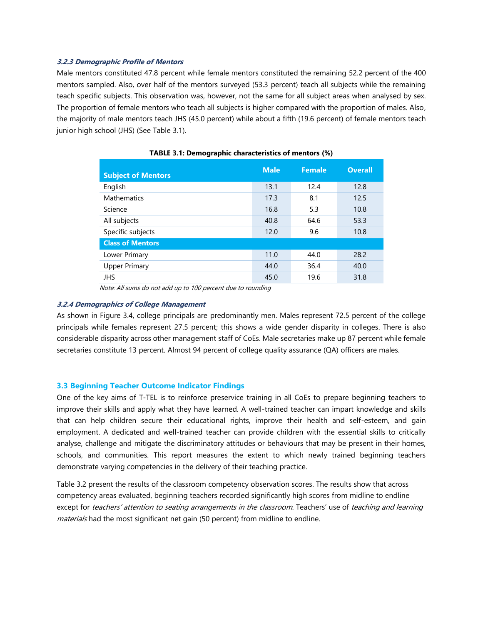#### <span id="page-22-0"></span>**3.2.3 Demographic Profile of Mentors**

Male mentors constituted 47.8 percent while female mentors constituted the remaining 52.2 percent of the 400 mentors sampled. Also, over half of the mentors surveyed (53.3 percent) teach all subjects while the remaining teach specific subjects. This observation was, however, not the same for all subject areas when analysed by sex. The proportion of female mentors who teach all subjects is higher compared with the proportion of males. Also, the majority of male mentors teach JHS (45.0 percent) while about a fifth (19.6 percent) of female mentors teach junior high school (JHS) (See Table 3.1).

<span id="page-22-3"></span>

| <b>Subject of Mentors</b> | <b>Male</b> | <b>Female</b> | <b>Overall</b> |
|---------------------------|-------------|---------------|----------------|
| English                   | 13.1        | 12.4          | 12.8           |
| <b>Mathematics</b>        | 17.3        | 8.1           | 12.5           |
| Science                   | 16.8        | 5.3           | 10.8           |
| All subjects              | 40.8        | 64.6          | 53.3           |
| Specific subjects         | 12.0        | 9.6           | 10.8           |
| <b>Class of Mentors</b>   |             |               |                |
| Lower Primary             | 11.0        | 44.0          | 28.2           |
| <b>Upper Primary</b>      | 44.0        | 36.4          | 40.0           |
| <b>JHS</b>                | 45.0        | 19.6          | 31.8           |

#### **TABLE 3.1: Demographic characteristics of mentors (%)**

Note: All sums do not add up to 100 percent due to rounding

#### <span id="page-22-1"></span>**3.2.4 Demographics of College Management**

As shown in Figure 3.4, college principals are predominantly men. Males represent 72.5 percent of the college principals while females represent 27.5 percent; this shows a wide gender disparity in colleges. There is also considerable disparity across other management staff of CoEs. Male secretaries make up 87 percent while female secretaries constitute 13 percent. Almost 94 percent of college quality assurance (QA) officers are males.

#### <span id="page-22-2"></span>**3.3 Beginning Teacher Outcome Indicator Findings**

One of the key aims of T-TEL is to reinforce preservice training in all CoEs to prepare beginning teachers to improve their skills and apply what they have learned. A well-trained teacher can impart knowledge and skills that can help children secure their educational rights, improve their health and self-esteem, and gain employment. A dedicated and well-trained teacher can provide children with the essential skills to critically analyse, challenge and mitigate the discriminatory attitudes or behaviours that may be present in their homes, schools, and communities. This report measures the extent to which newly trained beginning teachers demonstrate varying competencies in the delivery of their teaching practice.

Table 3.2 present the results of the classroom competency observation scores. The results show that across competency areas evaluated, beginning teachers recorded significantly high scores from midline to endline except for teachers' attention to seating arrangements in the classroom. Teachers' use of teaching and learning materials had the most significant net gain (50 percent) from midline to endline.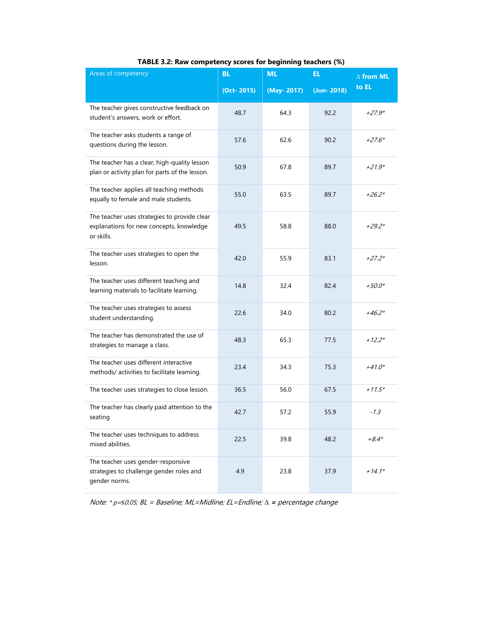<span id="page-23-0"></span>

| Areas of competency                                                                                    | <b>BL</b>  | <b>ML</b>  | EL             | $\Delta$ from ML |  |
|--------------------------------------------------------------------------------------------------------|------------|------------|----------------|------------------|--|
|                                                                                                        | (Oct-2015) | (May-2017) | $(Jun - 2018)$ | to EL            |  |
| The teacher gives constructive feedback on<br>student's answers, work or effort.                       | 48.7       | 64.3       | 92.2           | $+27.9*$         |  |
| The teacher asks students a range of<br>questions during the lesson.                                   | 57.6       | 62.6       | 90.2           | $+27.6*$         |  |
| The teacher has a clear, high-quality lesson<br>plan or activity plan for parts of the lesson.         | 50.9       | 67.8       | 89.7           | $+21.9*$         |  |
| The teacher applies all teaching methods<br>equally to female and male students.                       | 55.0       | 63.5       | 89.7           | $+26.2*$         |  |
| The teacher uses strategies to provide clear<br>explanations for new concepts, knowledge<br>or skills. | 49.5       | 58.8       | 88.0           | $+29.2*$         |  |
| The teacher uses strategies to open the<br>lesson.                                                     | 42.0       | 55.9       | 83.1           | $+27.2*$         |  |
| The teacher uses different teaching and<br>learning materials to facilitate learning.                  | 14.8       | 32.4       | 82.4           | $+50.0*$         |  |
| The teacher uses strategies to assess<br>student understanding.                                        | 22.6       | 34.0       | 80.2           | $+46.2*$         |  |
| The teacher has demonstrated the use of<br>strategies to manage a class.                               | 48.3       | 65.3       | 77.5           | $+12.2*$         |  |
| The teacher uses different interactive<br>methods/ activities to facilitate learning.                  | 23.4       | 34.3       | 75.3           | $+41.0*$         |  |
| The teacher uses strategies to close lesson.                                                           | 36.5       | 56.0       | 67.5           | $+11.5*$         |  |
| The teacher has clearly paid attention to the<br>seating                                               | 42.7       | 57.2       | 55.9           | $-1.3$           |  |
| The teacher uses techniques to address<br>mixed abilities.                                             | 22.5       | 39.8       | 48.2           | $+8.4*$          |  |
| The teacher uses gender-responsive<br>strategies to challenge gender roles and<br>gender norms.        | 4.9        | 23.8       | 37.9           | $+14.1*$         |  |

## **TABLE 3.2: Raw competency scores for beginning teachers (%)**

Note: \* p=*≤*0.05; BL = Baseline; ML=Midline; EL=Endline; *∆* **<sup>=</sup>**percentage change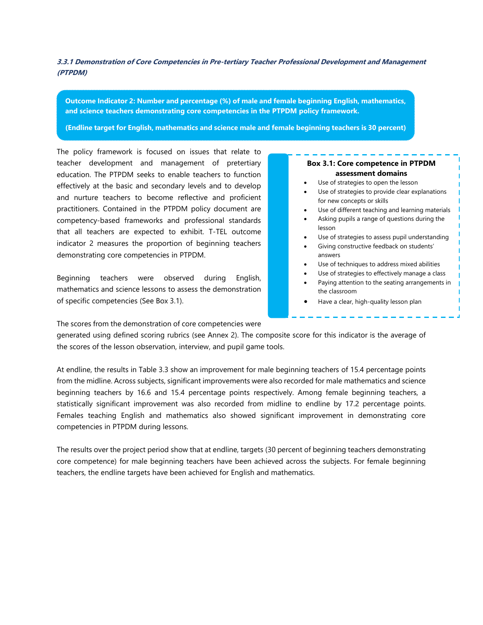<span id="page-24-0"></span>**3.3.1 Demonstration of Core Competencies in Pre-tertiary Teacher Professional Development and Management (PTPDM)** 

**Outcome Indicator 2: Number and percentage (%) of male and female beginning English, mathematics, and science teachers demonstrating core competencies in the PTPDM policy framework.** 

**(Endline target for English, mathematics and science male and female beginning teachers is 30 percent)** 

The policy framework is focused on issues that relate to teacher development and management of pretertiary education. The PTPDM seeks to enable teachers to function effectively at the basic and secondary levels and to develop and nurture teachers to become reflective and proficient practitioners. Contained in the PTPDM policy document are competency-based frameworks and professional standards that all teachers are expected to exhibit. T-TEL outcome indicator 2 measures the proportion of beginning teachers demonstrating core competencies in PTPDM.

Beginning teachers were observed during English, mathematics and science lessons to assess the demonstration of specific competencies (See Box 3.1).

#### **Box 3.1: Core competence in PTPDM assessment domains**

- Use of strategies to open the lesson
- Use of strategies to provide clear explanations for new concepts or skills
- Use of different teaching and learning materials
- Asking pupils a range of questions during the lesson
- Use of strategies to assess pupil understanding
- Giving constructive feedback on students' answers
- Use of techniques to address mixed abilities
- Use of strategies to effectively manage a class
- Paying attention to the seating arrangements in the classroom
- Have a clear, high-quality lesson plan

The scores from the demonstration of core competencies were

generated using defined scoring rubrics (see Annex 2). The composite score for this indicator is the average of the scores of the lesson observation, interview, and pupil game tools.

At endline, the results in Table 3.3 show an improvement for male beginning teachers of 15.4 percentage points from the midline. Across subjects, significant improvements were also recorded for male mathematics and science beginning teachers by 16.6 and 15.4 percentage points respectively. Among female beginning teachers, a statistically significant improvement was also recorded from midline to endline by 17.2 percentage points. Females teaching English and mathematics also showed significant improvement in demonstrating core competencies in PTPDM during lessons.

The results over the project period show that at endline, targets (30 percent of beginning teachers demonstrating core competence) for male beginning teachers have been achieved across the subjects. For female beginning teachers, the endline targets have been achieved for English and mathematics.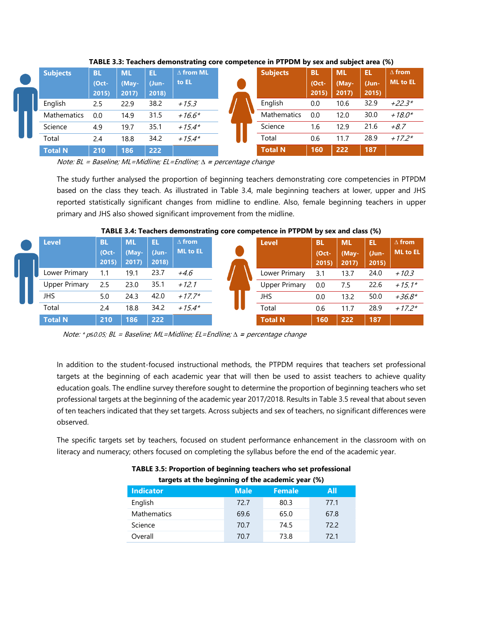| <b>Subjects</b>    | <b>BL</b><br>(Oct-<br>2015 | <b>ML</b><br>(May-<br>2017) | EL<br>(Jun-<br>2018) | $\Delta$ from ML<br>to EL | <b>Subjects</b> | <b>BL</b><br>$(Oct -$<br>2015) | <b>ML</b><br>(May-<br>2017 | Ħ<br>(Jun-<br>2015) | $\Delta$ from<br><b>ML</b> to EL |
|--------------------|----------------------------|-----------------------------|----------------------|---------------------------|-----------------|--------------------------------|----------------------------|---------------------|----------------------------------|
| English            | 2.5                        | 22.9                        | 38.2                 | $+15.3$                   | English         | 0.0                            | 10.6                       | 32.9                | $+22.3*$                         |
| <b>Mathematics</b> | 0.0                        | 14.9                        | 31.5                 | $+16.6*$                  | Mathematics     | 0.0                            | 12.0                       | 30.0                | $+18.0*$                         |
| Science            | 4.9                        | 19.7                        | 35.1                 | $+15.4*$                  | Science         | 1.6                            | 12.9                       | 21.6                | $+8.7$                           |
| Total              | 2.4                        | 18.8                        | 34.2                 | $+15.4*$                  | Total           | 0.6                            | 11.7                       | 28.9                | $+17.2*$                         |
| <b>Total N</b>     | 210                        | 186                         | <b>222</b>           |                           | <b>Total N</b>  | 160                            | 222                        | 187                 |                                  |

<span id="page-25-0"></span>**TABLE 3.3: Teachers demonstrating core competence in PTPDM by sex and subject area (%)**

Note: BL = Baseline; ML=Midline; EL=Endline; *∆* **<sup>=</sup>**percentage change

The study further analysed the proportion of beginning teachers demonstrating core competencies in PTPDM based on the class they teach. As illustrated in Table 3.4, male beginning teachers at lower, upper and JHS reported statistically significant changes from midline to endline. Also, female beginning teachers in upper primary and JHS also showed significant improvement from the midline.

|                      |                             |                            |                     |                                  | - |                      |                               |                             |                      |                                  |
|----------------------|-----------------------------|----------------------------|---------------------|----------------------------------|---|----------------------|-------------------------------|-----------------------------|----------------------|----------------------------------|
| <b>Level</b>         | <b>BL</b><br>(Oct-<br>2015) | <b>ML</b><br>(May-<br>2017 | Π<br>(Jun-<br>2018) | $\Delta$ from<br><b>ML</b> to EL |   | <b>Level</b>         | <b>BL</b><br>$(Oct -$<br>2015 | <b>ML</b><br>(May-<br>2017) | EL<br>(Jun-<br>2015) | $\Delta$ from<br><b>ML</b> to EL |
| Lower Primary        | 1.1                         | 19.1                       | 23.7                | +4.6                             |   | Lower Primary        | 3.1                           | 13.7                        | 24.0                 | $+10.3$                          |
| <b>Upper Primary</b> | 2.5                         | 23.0                       | 35.1                | $+12.1$                          |   | <b>Upper Primary</b> | 0.0                           | 7.5                         | 22.6                 | $+15.1*$                         |
| <b>JHS</b>           | 5.0                         | 24.3                       | 42.0                | $+17.7*$                         |   | JHS                  | 0.0                           | 13.2                        | 50.0                 | $+36.8*$                         |
| Total                | 2.4                         | 18.8                       | 34.2                | $+15.4*$                         |   | Total                | 0.6                           | 11.7                        | 28.9                 | $+17.2*$                         |
| <b>Total N</b>       | 210                         | 186                        | 222                 |                                  |   | <b>Total N</b>       | 160                           | 222                         | 187                  |                                  |

<span id="page-25-1"></span>**TABLE 3.4: Teachers demonstrating core competence in PTPDM by sex and class (%)**

Note: \* p*≤*0.05; BL = Baseline; ML=Midline; EL=Endline; *∆* **<sup>=</sup>**percentage change

In addition to the student-focused instructional methods, the PTPDM requires that teachers set professional targets at the beginning of each academic year that will then be used to assist teachers to achieve quality education goals. The endline survey therefore sought to determine the proportion of beginning teachers who set professional targets at the beginning of the academic year 2017/2018. Results in Table 3.5 reveal that about seven of ten teachers indicated that they set targets. Across subjects and sex of teachers, no significant differences were observed.

<span id="page-25-3"></span><span id="page-25-2"></span>The specific targets set by teachers, focused on student performance enhancement in the classroom with on literacy and numeracy; others focused on completing the syllabus before the end of the academic year.

| targets at the beginning of the academic year (%) |             |               |      |
|---------------------------------------------------|-------------|---------------|------|
| <b>Indicator</b>                                  | <b>Male</b> | <b>Female</b> | All  |
| English                                           | 72.7        | 80.3          | 77.1 |
| <b>Mathematics</b>                                | 69.6        | 65.0          | 67.8 |
| Science                                           | 70.7        | 74.5          | 72.2 |
| Overall                                           | 70.7        | 73.8          | 72.1 |

| TABLE 3.5: Proportion of beginning teachers who set professional |  |
|------------------------------------------------------------------|--|
| targets at the beginning of the academic year (%)                |  |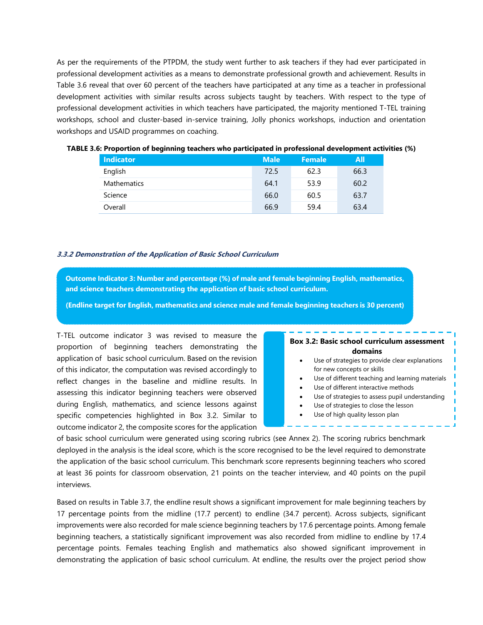As per the requirements of the PTPDM, the study went further to ask teachers if they had ever participated in professional development activities as a means to demonstrate professional growth and achievement. Results in Table 3.6 reveal that over 60 percent of the teachers have participated at any time as a teacher in professional development activities with similar results across subjects taught by teachers. With respect to the type of professional development activities in which teachers have participated, the majority mentioned T-TEL training workshops, school and cluster-based in-service training, Jolly phonics workshops, induction and orientation workshops and USAID programmes on coaching.

| <b>Indicator</b>   | <b>Male</b> | <b>Female</b> | All  |
|--------------------|-------------|---------------|------|
| English            | 72.5        | 62.3          | 66.3 |
| <b>Mathematics</b> | 64.1        | 53.9          | 60.2 |
| Science            | 66.0        | 60.5          | 63.7 |
| Overall            | 66.9        | 59.4          | 63.4 |

<span id="page-26-1"></span>

| TABLE 3.6: Proportion of beginning teachers who participated in professional development activities (%) |  |  |
|---------------------------------------------------------------------------------------------------------|--|--|
|                                                                                                         |  |  |

#### <span id="page-26-0"></span>**3.3.2 Demonstration of the Application of Basic School Curriculum**

**Outcome Indicator 3: Number and percentage (%) of male and female beginning English, mathematics, and science teachers demonstrating the application of basic school curriculum.**

**(Endline target for English, mathematics and science male and female beginning teachers is 30 percent)** 

T-TEL outcome indicator 3 was revised to measure the proportion of beginning teachers demonstrating the application of basic school curriculum. Based on the revision of this indicator, the computation was revised accordingly to reflect changes in the baseline and midline results. In assessing this indicator beginning teachers were observed during English, mathematics, and science lessons against specific competencies highlighted in Box 3.2. Similar to outcome indicator 2, the composite scores for the application

#### **Box 3.2: Basic school curriculum assessment domains**

- Use of strategies to provide clear explanations for new concepts or skills Use of different teaching and learning materials Use of different interactive methods
- 
- Use of strategies to assess pupil understanding
- Use of strategies to close the lesson Use of high quality lesson plan
	-

of basic school curriculum were generated using scoring rubrics (see Annex 2). The scoring rubrics benchmark deployed in the analysis is the ideal score, which is the score recognised to be the level required to demonstrate the application of the basic school curriculum. This benchmark score represents beginning teachers who scored at least 36 points for classroom observation, 21 points on the teacher interview, and 40 points on the pupil interviews.

Based on results in Table 3.7, the endline result shows a significant improvement for male beginning teachers by 17 percentage points from the midline (17.7 percent) to endline (34.7 percent). Across subjects, significant improvements were also recorded for male science beginning teachers by 17.6 percentage points. Among female beginning teachers, a statistically significant improvement was also recorded from midline to endline by 17.4 percentage points. Females teaching English and mathematics also showed significant improvement in demonstrating the application of basic school curriculum. At endline, the results over the project period show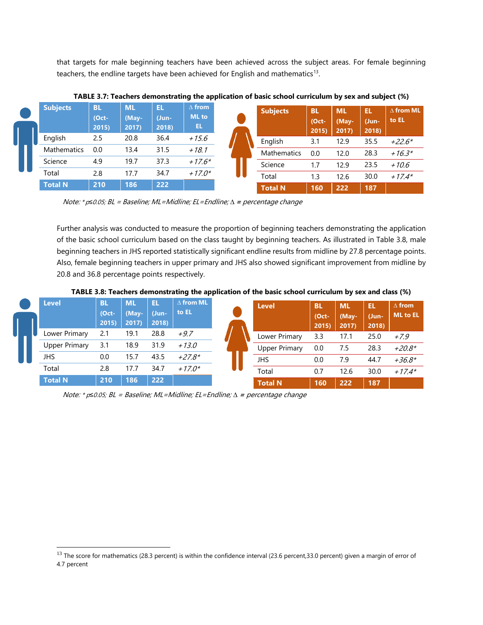that targets for male beginning teachers have been achieved across the subject areas. For female beginning teachers, the endline targets have been achieved for English and mathematics<sup>13</sup>.

| <b>Subjects</b>    | BL<br>(Oct-<br>2015 | <b>ML</b><br>(May-<br>2017 | EL<br>(Jun-<br>2018) | $\Delta$ from<br><b>ML</b> to<br>EL | <b>Subjects</b> | <b>TBI</b><br>(Oct-<br>2015) | <b>ML</b><br>(May-<br>2017) | EL<br>(Jun-<br>2018) | $\Delta$ from ML<br>to EL |
|--------------------|---------------------|----------------------------|----------------------|-------------------------------------|-----------------|------------------------------|-----------------------------|----------------------|---------------------------|
| English            | 2.5                 | 20.8                       | 36.4                 | $+15.6$                             | English         | 3.1                          | 12.9                        | 35.5                 | $+22.6*$                  |
| <b>Mathematics</b> | 0.0                 | 13.4                       | 31.5                 | $+18.1$                             | Mathematics     | 0.0                          | 12.0                        | 28.3                 | $+16.3*$                  |
| Science            | 4.9                 | 19.7                       | 37.3                 | $+17.6*$                            | Science         |                              | 12.9                        | 23.5                 | $+10.6$                   |
| Total              | 2.8                 | 17.7                       | 34.7                 | $+17.0*$                            | Total           | 1.3                          | 12.6                        | 30.0                 | $+17.4*$                  |
| <b>Total N</b>     | 210                 | 186                        | 222                  |                                     | <b>Total N</b>  | 160                          | 222                         | 187                  |                           |

<span id="page-27-0"></span>**TABLE 3.7: Teachers demonstrating the application of basic school curriculum by sex and subject (%)**

Note: \* p*≤*0.05; BL = Baseline; ML=Midline; EL=Endline; *∆* **<sup>=</sup>**percentage change

Further analysis was conducted to measure the proportion of beginning teachers demonstrating the application of the basic school curriculum based on the class taught by beginning teachers. As illustrated in Table 3.8, male beginning teachers in JHS reported statistically significant endline results from midline by 27.8 percentage points. Also, female beginning teachers in upper primary and JHS also showed significant improvement from midline by 20.8 and 36.8 percentage points respectively.

<span id="page-27-1"></span>**TABLE 3.8: Teachers demonstrating the application of the basic school curriculum by sex and class (%)**

| <b>Level</b>         | <b>BL</b><br>$(Oct -$<br>2015 | <b>ML</b><br>(May-<br>2017 | EL<br>(Jun-<br>2018) | $\Delta$ from ML<br>to EL | <b>Level</b>         | <b>BL</b><br>(Oct-<br>2015 | <b>ML</b><br>(May-<br>2017) | EL<br>(Jun-<br>2018) | $\Delta$ from<br>ML to EL |
|----------------------|-------------------------------|----------------------------|----------------------|---------------------------|----------------------|----------------------------|-----------------------------|----------------------|---------------------------|
| Lower Primary        | 2.1                           | 19.1                       | 28.8                 | $+9.7$                    | Lower Primary        | 3.3                        | 17.1                        | 25.0                 | $+7.9$                    |
| <b>Upper Primary</b> | 3.1                           | 18.9                       | 31.9                 | $+13.0$                   | <b>Upper Primary</b> | 0.0                        | 7.5                         | 28.3                 | $+20.8*$                  |
| JHS                  | 0.0                           | 15.7                       | 43.5                 | $+27.8*$                  | JHS                  | 0.0                        | 7.9                         | 44.7                 | $+36.8*$                  |
| Total                | 2.8                           | 17.7                       | 34.7                 | $+17.0*$                  | Total                | 0.7                        | 12.6                        | 30.0                 | $+17.4*$                  |
| <b>Total N</b>       | 210                           | 186                        | 222                  |                           | <b>Total N</b>       | 160                        | 222                         | 187                  |                           |

Note: \* p*≤*0.05; BL = Baseline; ML=Midline; EL=Endline; *∆* **<sup>=</sup>**percentage change

l

<sup>&</sup>lt;sup>13</sup> The score for mathematics (28.3 percent) is within the confidence interval (23.6 percent,33.0 percent) given a margin of error of 4.7 percent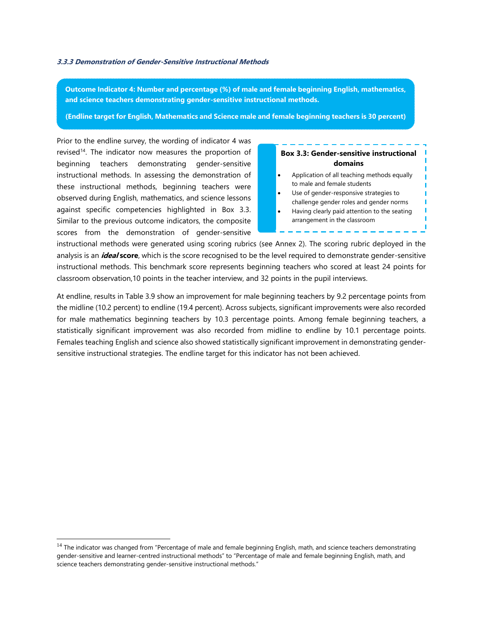#### <span id="page-28-0"></span>**3.3.3 Demonstration of Gender-Sensitive Instructional Methods**

**Outcome Indicator 4: Number and percentage (%) of male and female beginning English, mathematics, and science teachers demonstrating gender-sensitive instructional methods.**

**(Endline target for English, Mathematics and Science male and female beginning teachers is 30 percent)** 

Prior to the endline survey, the wording of indicator 4 was revised<sup>14</sup>. The indicator now measures the proportion of beginning teachers demonstrating gender-sensitive instructional methods. In assessing the demonstration of these instructional methods, beginning teachers were observed during English, mathematics, and science lessons against specific competencies highlighted in Box 3.3. Similar to the previous outcome indicators, the composite scores from the demonstration of gender-sensitive

l

## **Box 3.3: Gender-sensitive instructional domains** • Application of all teaching methods equally to male and female students Use of gender-responsive strategies to challenge gender roles and gender norms • Having clearly paid attention to the seating arrangement in the classroom

instructional methods were generated using scoring rubrics (see Annex 2). The scoring rubric deployed in the analysis is an **ideal score**, which is the score recognised to be the level required to demonstrate gender-sensitive instructional methods. This benchmark score represents beginning teachers who scored at least 24 points for classroom observation,10 points in the teacher interview, and 32 points in the pupil interviews.

At endline, results in Table 3.9 show an improvement for male beginning teachers by 9.2 percentage points from the midline (10.2 percent) to endline (19.4 percent). Across subjects, significant improvements were also recorded for male mathematics beginning teachers by 10.3 percentage points. Among female beginning teachers, a statistically significant improvement was also recorded from midline to endline by 10.1 percentage points. Females teaching English and science also showed statistically significant improvement in demonstrating gendersensitive instructional strategies. The endline target for this indicator has not been achieved.

<sup>&</sup>lt;sup>14</sup> The indicator was changed from "Percentage of male and female beginning English, math, and science teachers demonstrating gender-sensitive and learner-centred instructional methods" to "Percentage of male and female beginning English, math, and science teachers demonstrating gender-sensitive instructional methods."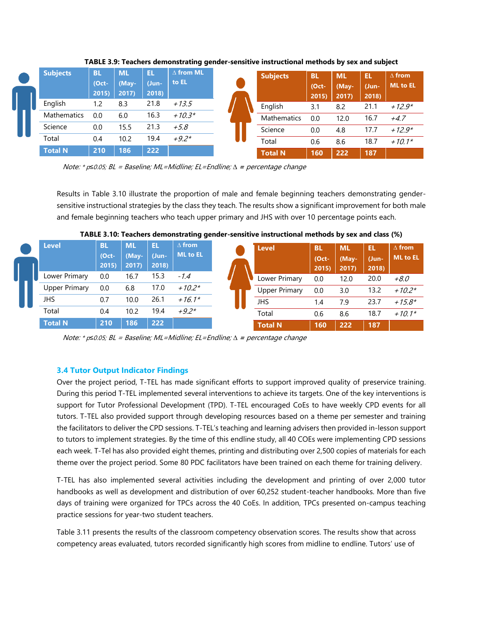| <b>Subjects</b>    | BL<br>(Oct-<br>2015) | <b>ML</b><br>(May-<br>2017 | EL<br>(Jun-<br>2018) | $\Delta$ from ML<br>to EL | <b>Subjects</b> | <b>BL</b><br>$(Oct -$<br>2015 | <b>ML</b><br>(May-<br>2017) | EL<br>(Jun-<br>2018) | $\Delta$ from<br><b>ML</b> to EL |
|--------------------|----------------------|----------------------------|----------------------|---------------------------|-----------------|-------------------------------|-----------------------------|----------------------|----------------------------------|
| English            | 1.2                  | 8.3                        | 21.8                 | $+13.5$                   | English         | 3.1                           | 8.2                         | 21.1                 | $+12.9*$                         |
| <b>Mathematics</b> | 0.0                  | 6.0                        | 16.3                 | $+10.3*$                  | Mathematics     | 0.0                           | 12.0                        | 16.7                 | $+4.7$                           |
| Science            | 0.0                  | 15.5                       | 21.3                 | $+5.8$                    | Science         | 0.0                           | 4.8                         | 17.7                 | $+12.9*$                         |
| Total              | 0.4                  | 10.2                       | 19.4                 | $+9.2*$                   | Total           | 0.6                           | 8.6                         | 18.7                 | $+10.1*$                         |
| <b>Total N</b>     | 210                  | 186                        | 222                  |                           | <b>Total N</b>  | 160                           | 222                         | 187                  |                                  |

<span id="page-29-1"></span>**TABLE 3.9: Teachers demonstrating gender-sensitive instructional methods by sex and subject**

Note: \* p*≤*0.05; BL = Baseline; ML=Midline; EL=Endline; *∆* **<sup>=</sup>**percentage change

Results in Table 3.10 illustrate the proportion of male and female beginning teachers demonstrating gendersensitive instructional strategies by the class they teach. The results show a significant improvement for both male and female beginning teachers who teach upper primary and JHS with over 10 percentage points each.

| <b>Level</b>         | <b>BL</b><br>$(Oct -$<br>2015) | <b>ML</b><br>(May-<br>2017 | EL<br>(Jun-<br>2018) | $\Delta$ from<br><b>ML</b> to EL | <b>Level</b>         | BL<br>$(Oct -$<br>2015 | <b>ML</b><br>(May-<br>2017 | EL<br>(Jun-)<br>2018) |      |
|----------------------|--------------------------------|----------------------------|----------------------|----------------------------------|----------------------|------------------------|----------------------------|-----------------------|------|
| Lower Primary        | 0.0                            | 16.7                       | 15.3                 | $-1.4$                           | Lower Primary        | 0.0                    | 12.0                       | 20.0                  | +8.0 |
| <b>Upper Primary</b> | 0.0                            | 6.8                        | 17.0                 | $+10.2*$                         | <b>Upper Primary</b> | 0.0                    | 3.0                        | 13.2                  |      |
|                      | 0.7                            | 10.0                       | 26.1                 | $+16.1*$                         | JHS                  | 1.4                    | 7.9                        | 23.7                  |      |
|                      | 0.4                            | 10.2                       | 19.4                 | $+9.2*$                          | Total                | 0.6                    | 8.6                        | 18.7                  |      |
|                      | 210                            | 186                        | 222                  |                                  | <b>Total N</b>       | 160                    | 222                        | 187                   |      |

#### <span id="page-29-2"></span>**TABLE 3.10: Teachers demonstrating gender-sensitive instructional methods by sex and class (%)**

Note: \* p*≤*0.05; BL = Baseline; ML=Midline; EL=Endline; *∆* **<sup>=</sup>**percentage change

## <span id="page-29-0"></span>**3.4 Tutor Output Indicator Findings**

Over the project period, T-TEL has made significant efforts to support improved quality of preservice training. During this period T-TEL implemented several interventions to achieve its targets. One of the key interventions is support for Tutor Professional Development (TPD). T-TEL encouraged CoEs to have weekly CPD events for all tutors. T-TEL also provided support through developing resources based on a theme per semester and training the facilitators to deliver the CPD sessions. T-TEL's teaching and learning advisers then provided in-lesson support to tutors to implement strategies. By the time of this endline study, all 40 COEs were implementing CPD sessions each week. T-Tel has also provided eight themes, printing and distributing over 2,500 copies of materials for each theme over the project period. Some 80 PDC facilitators have been trained on each theme for training delivery.

T-TEL has also implemented several activities including the development and printing of over 2,000 tutor handbooks as well as development and distribution of over 60,252 student-teacher handbooks. More than five days of training were organized for TPCs across the 40 CoEs. In addition, TPCs presented on-campus teaching practice sessions for year-two student teachers.

Table 3.11 presents the results of the classroom competency observation scores. The results show that across competency areas evaluated, tutors recorded significantly high scores from midline to endline. Tutors' use of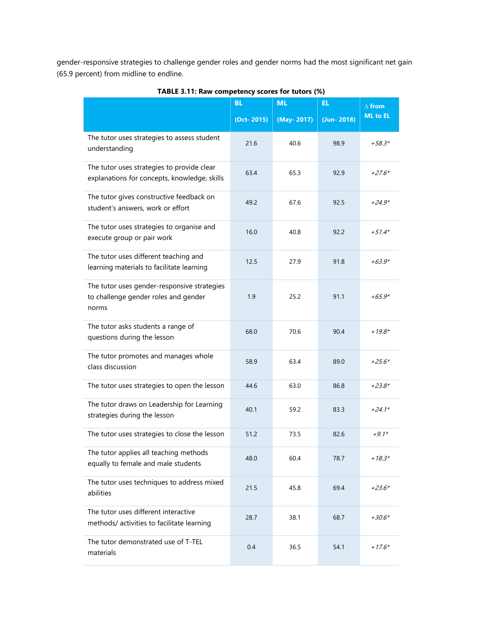gender-responsive strategies to challenge gender roles and gender norms had the most significant net gain (65.9 percent) from midline to endline.

<span id="page-30-0"></span>

|                                                                                              | <b>BL</b>  | <b>ML</b>   | EL.          | $\Delta$ from   |
|----------------------------------------------------------------------------------------------|------------|-------------|--------------|-----------------|
|                                                                                              | (Oct-2015) | (May- 2017) | $(Jun-2018)$ | <b>ML</b> to EL |
| The tutor uses strategies to assess student<br>understanding                                 | 21.6       | 40.6        | 98.9         | $+58.3*$        |
| The tutor uses strategies to provide clear<br>explanations for concepts, knowledge, skills   | 63.4       | 65.3        | 92.9         | $+27.6*$        |
| The tutor gives constructive feedback on<br>student's answers, work or effort                | 49.2       | 67.6        | 92.5         | $+24.9*$        |
| The tutor uses strategies to organise and<br>execute group or pair work                      | 16.0       | 40.8        | 92.2         | $+51.4*$        |
| The tutor uses different teaching and<br>learning materials to facilitate learning           | 12.5       | 27.9        | 91.8         | $+63.9*$        |
| The tutor uses gender-responsive strategies<br>to challenge gender roles and gender<br>norms | 1.9        | 25.2        | 91.1         | $+65.9*$        |
| The tutor asks students a range of<br>questions during the lesson                            | 68.0       | 70.6        | 90.4         | $+19.8*$        |
| The tutor promotes and manages whole<br>class discussion                                     | 58.9       | 63.4        | 89.0         | $+25.6*$        |
| The tutor uses strategies to open the lesson                                                 | 44.6       | 63.0        | 86.8         | $+23.8*$        |
| The tutor draws on Leadership for Learning<br>strategies during the lesson                   | 40.1       | 59.2        | 83.3         | $+24.1*$        |
| The tutor uses strategies to close the lesson                                                | 51.2       | 73.5        | 82.6         | $+9.1*$         |
| The tutor applies all teaching methods<br>equally to female and male students                | 48.0       | 60.4        | 78.7         | $+18.3*$        |
| The tutor uses techniques to address mixed<br>abilities                                      | 21.5       | 45.8        | 69.4         | $+23.6*$        |
| The tutor uses different interactive<br>methods/activities to facilitate learning            | 28.7       | 38.1        | 68.7         | $+30.6*$        |
| The tutor demonstrated use of T-TEL<br>materials                                             | 0.4        | 36.5        | 54.1         | $+17.6*$        |

**TABLE 3.11: Raw competency scores for tutors (%)**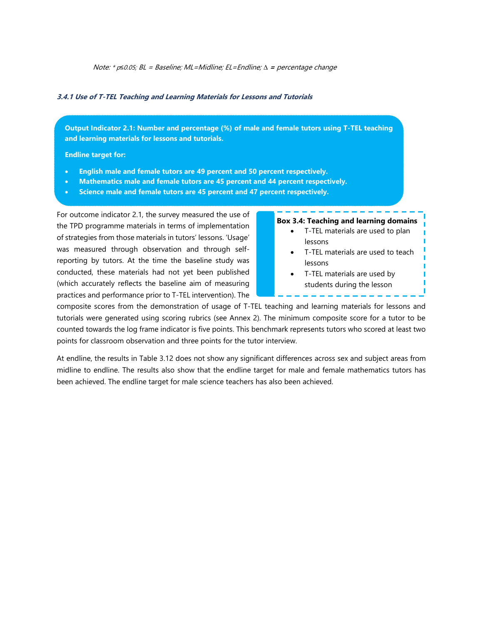Note: \* p*≤*0.05; BL = Baseline; ML=Midline; EL=Endline; *∆* **<sup>=</sup>**percentage change

#### <span id="page-31-0"></span>**3.4.1 Use of T-TEL Teaching and Learning Materials for Lessons and Tutorials**

**Output Indicator 2.1: Number and percentage (%) of male and female tutors using T-TEL teaching and learning materials for lessons and tutorials.**

**Endline target for:**

- **English male and female tutors are 49 percent and 50 percent respectively.**
- **Mathematics male and female tutors are 45 percent and 44 percent respectively.**
- **Science male and female tutors are 45 percent and 47 percent respectively.**

For outcome indicator 2.1, the survey measured the use of the TPD programme materials in terms of implementation of strategies from those materials in tutors' lessons. 'Usage' was measured through observation and through selfreporting by tutors. At the time the baseline study was conducted, these materials had not yet been published (which accurately reflects the baseline aim of measuring practices and performance prior to T-TEL intervention). The

#### **Box 3.4: Teaching and learning domains**

- T-TEL materials are used to plan lessons
- T-TEL materials are used to teach lessons
- T-TEL materials are used by students during the lesson

composite scores from the demonstration of usage of T-TEL teaching and learning materials for lessons and tutorials were generated using scoring rubrics (see Annex 2). The minimum composite score for a tutor to be counted towards the log frame indicator is five points. This benchmark represents tutors who scored at least two points for classroom observation and three points for the tutor interview.

At endline, the results in Table 3.12 does not show any significant differences across sex and subject areas from midline to endline. The results also show that the endline target for male and female mathematics tutors has been achieved. The endline target for male science teachers has also been achieved.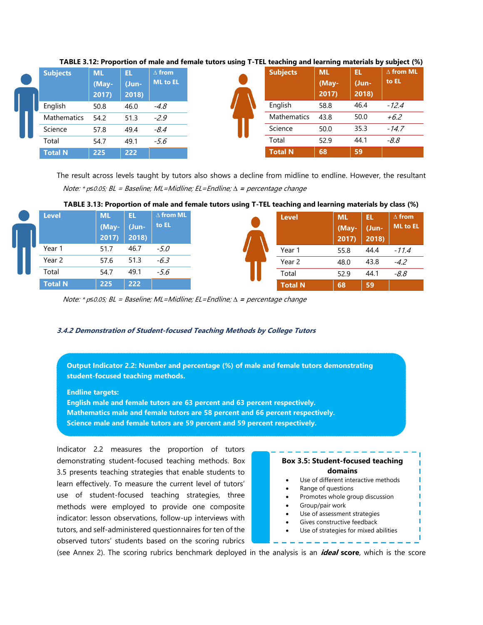| <b>Subjects</b>    | <b>ML</b><br>(May-<br>2017) | EL.<br>Uun-<br>2018 | $\Delta$ from<br><b>ML to EL</b> | <b>Subjects</b>    | <b>ML</b><br>(May-<br>2017) | Ħ<br>(Jun-<br>2018) |
|--------------------|-----------------------------|---------------------|----------------------------------|--------------------|-----------------------------|---------------------|
| English            | 50.8                        | 46.0                | $-4.8$                           | English            | 58.8                        | 46.4                |
| <b>Mathematics</b> | 54.2                        | 51.3                | $-2.9$                           | <b>Mathematics</b> | 43.8                        | 50.0                |
| Science            | 57.8                        | 49.4                | $-8.4$                           | Science            | 50.0                        | 35.3                |
| Total              | 54.7                        | 49.1                | $-5.6$                           | Total              | 52.9                        | 44.1                |
| <b>Total N</b>     | 225                         | 222                 |                                  | <b>Total N</b>     | 68                          | 59                  |

#### <span id="page-32-1"></span>**TABLE 3.12: Proportion of male and female tutors using T-TEL teaching and learning materials by subject (%)**

The result across levels taught by tutors also shows a decline from midline to endline. However, the resultant percentage changes are not statistically significant (See Table 3.13). Note: \* p*≤*0.05; BL = Baseline; ML=Midline; EL=Endline; *∆* **<sup>=</sup>**percentage change

<span id="page-32-2"></span>

| TABLE 3.13: Proportion of male and female tutors using T-TEL teaching and learning materials by class (%) |  |  |
|-----------------------------------------------------------------------------------------------------------|--|--|
|                                                                                                           |  |  |

| <b>Level</b>   | <b>ML</b><br>(May- | EL.<br>$U$ un- | $\Delta$ from ML<br>to EL | <b>Level</b>   | <b>ML</b>      | ГŦ             | $\Delta$ from<br><b>ML</b> to EL |
|----------------|--------------------|----------------|---------------------------|----------------|----------------|----------------|----------------------------------|
|                | 2017)              | 2018)          |                           |                | (May-<br>2017) | (Jun-<br>2018) |                                  |
| Year 1         | 51.7               | 46.7           | $-5.0$                    | Year 1         | 55.8           | 44.4           | $-11.4$                          |
| Year 2         | 57.6               | 51.3           | $-6.3$                    | Year 2         | 48.0           | 43.8           | $-4.2$                           |
| Total          | 54.7               | 49.1           | -5.6                      | Total          | 52.9           | 44.1           | $-8.8$                           |
| <b>Total N</b> | 225                | 222            |                           | <b>Total N</b> | 68             | 59             |                                  |

Note: \* p*≤*0.05; BL = Baseline; ML=Midline; EL=Endline; *∆* **<sup>=</sup>**percentage change

#### <span id="page-32-0"></span>**3.4.2 Demonstration of Student-focused Teaching Methods by College Tutors**

**Output Indicator 2.2: Number and percentage (%) of male and female tutors demonstrating student-focused teaching methods.**

**Endline targets:**

**English male and female tutors are 63 percent and 63 percent respectively. Mathematics male and female tutors are 58 percent and 66 percent respectively. Science male and female tutors are 59 percent and 59 percent respectively.**

Indicator 2.2 measures the proportion of tutors demonstrating student-focused teaching methods. Box 3.5 presents teaching strategies that enable students to learn effectively. To measure the current level of tutors' use of student-focused teaching strategies, three methods were employed to provide one composite indicator: lesson observations, follow-up interviews with tutors, and self-administered questionnaires for ten of the observed tutors' students based on the scoring rubrics



(see Annex 2). The scoring rubrics benchmark deployed in the analysis is an **ideal score**, which is the score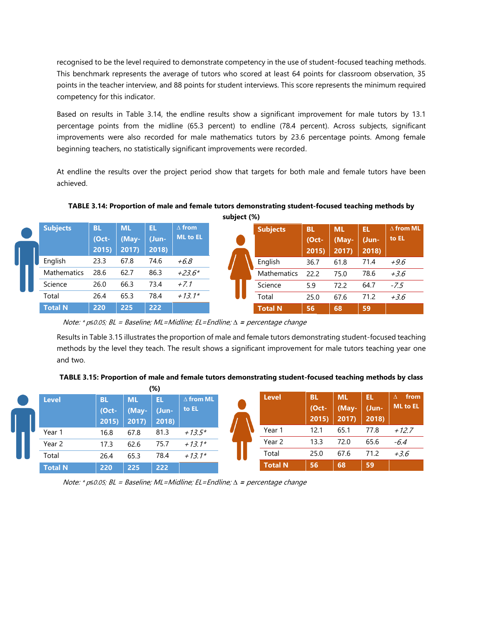recognised to be the level required to demonstrate competency in the use of student-focused teaching methods. This benchmark represents the average of tutors who scored at least 64 points for classroom observation, 35 points in the teacher interview, and 88 points for student interviews. This score represents the minimum required competency for this indicator.

Based on results in Table 3.14, the endline results show a significant improvement for male tutors by 13.1 percentage points from the midline (65.3 percent) to endline (78.4 percent). Across subjects, significant improvements were also recorded for male mathematics tutors by 23.6 percentage points. Among female beginning teachers, no statistically significant improvements were recorded.

At endline the results over the project period show that targets for both male and female tutors have been achieved.

<span id="page-33-0"></span>**TABLE 3.14: Proportion of male and female tutors demonstrating student-focused teaching methods by subject (%)**

|       |                    |                    |                    |             |                                  | $300 \times 100$ |                    |                       |                    |             |                           |
|-------|--------------------|--------------------|--------------------|-------------|----------------------------------|------------------|--------------------|-----------------------|--------------------|-------------|---------------------------|
|       | <b>Subjects</b>    | <b>BL</b><br>(Oct- | <b>ML</b><br>(May- | EL.<br>Uun- | $\Delta$ from<br><b>ML</b> to EL |                  | <b>Subjects</b>    | <b>BL</b><br>$(Oct -$ | <b>ML</b><br>(May- | EL<br>(Jun- | $\Delta$ from ML<br>to EL |
|       |                    | 2015               | 2017)              | 2018)       |                                  |                  |                    | 2015)                 | 2017               | 2018)       |                           |
|       | English            | 23.3               | 67.8               | 74.6        | $+6.8$                           |                  | English            | 36.7                  | 61.8               | 71.4        | $+9.6$                    |
|       | <b>Mathematics</b> | 28.6               | 62.7               | 86.3        | $+23.6*$                         |                  | <b>Mathematics</b> | 22.2                  | 75.0               | 78.6        | $+3.6$                    |
|       | Science            | 26.0               | 66.3               | 73.4        | $+7.1$                           |                  | Science            | 5.9                   | 72.2               | 64.7        | $-7.5$                    |
| Total |                    | 26.4               | 65.3               | 78.4        | $+13.1*$                         |                  | Total              | 25.0                  | 67.6               | 71.2        | $+3.6$                    |
|       | <b>Total N</b>     | 220                | 225                | 222         |                                  |                  | <b>Total N</b>     | 56                    | 68                 | 59          |                           |

Note: \* p*≤*0.05; BL = Baseline; ML=Midline; EL=Endline; *∆* **<sup>=</sup>**percentage change

Results in Table 3.15 illustrates the proportion of male and female tutors demonstrating student-focused teaching methods by the level they teach. The result shows a significant improvement for male tutors teaching year one and two.

<span id="page-33-1"></span>**TABLE 3.15: Proportion of male and female tutors demonstrating student-focused teaching methods by class**

|   |                |                                |                            | $(\%)$              |                           |                |                                |                            |                      |                              |
|---|----------------|--------------------------------|----------------------------|---------------------|---------------------------|----------------|--------------------------------|----------------------------|----------------------|------------------------------|
|   | <b>Level</b>   | <b>BL</b><br>$(Oct -$<br>2015) | <b>ML</b><br>(May-<br>2017 | EL<br>(Jun-<br>2018 | $\Delta$ from ML<br>to EL | Level          | <b>BL</b><br>$(Oct -$<br>2015) | <b>ML</b><br>(May-<br>2017 | EL<br>(Jun-<br>2018) | from<br>Δ<br><b>ML</b> to EL |
| U | Year 1         | 16.8                           | 67.8                       | 81.3                | $+13.5*$                  | Year 1         | 12.1                           | 65.1                       | 77.8                 | $+12.7$                      |
|   | Year 2         | 17.3                           | 62.6                       | 75.7                | $+13.1*$                  | Year 2         | 13.3                           | 72.0                       | 65.6                 | -6.4                         |
|   | Total          | 26.4                           | 65.3                       | 78.4                | $+13.1*$                  | Total          | 25.0                           | 67.6                       | 71.2                 | $+3.6$                       |
|   | <b>Total N</b> | 220                            | 225                        | 222                 |                           | <b>Total N</b> | 56                             | 68                         | 59                   |                              |

Note: \* p*≤*0.05; BL = Baseline; ML=Midline; EL=Endline; *∆* **<sup>=</sup>**percentage change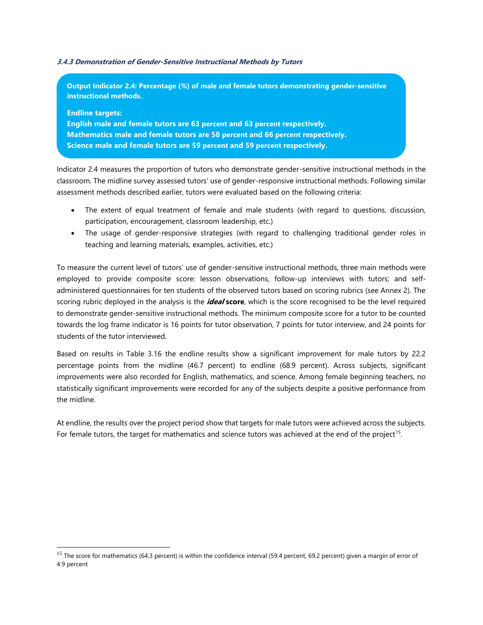#### <span id="page-34-0"></span>**3.4.3 Demonstration of Gender-Sensitive Instructional Methods by Tutors**

**Output Indicator 2.4: Percentage (%) of male and female tutors demonstrating gender-sensitive instructional methods.**

**Endline targets: English male and female tutors are 63 percent and 63 percent respectively. Mathematics male and female tutors are 58 percent and 66 percent respectively. Science male and female tutors are 59 percent and 59 percent respectively.**

Indicator 2.4 measures the proportion of tutors who demonstrate gender-sensitive instructional methods in the classroom. The midline survey assessed tutors' use of gender-responsive instructional methods. Following similar assessment methods described earlier, tutors were evaluated based on the following criteria:

- The extent of equal treatment of female and male students (with regard to questions, discussion, participation, encouragement, classroom leadership, etc.)
- The usage of gender-responsive strategies (with regard to challenging traditional gender roles in teaching and learning materials, examples, activities, etc.)

To measure the current level of tutors' use of gender-sensitive instructional methods, three main methods were employed to provide composite score: lesson observations, follow-up interviews with tutors; and selfadministered questionnaires for ten students of the observed tutors based on scoring rubrics (see Annex 2). The scoring rubric deployed in the analysis is the **ideal score**, which is the score recognised to be the level required to demonstrate gender-sensitive instructional methods. The minimum composite score for a tutor to be counted towards the log frame indicator is 16 points for tutor observation, 7 points for tutor interview, and 24 points for students of the tutor interviewed.

Based on results in Table 3.16 the endline results show a significant improvement for male tutors by 22.2 percentage points from the midline (46.7 percent) to endline (68.9 percent). Across subjects, significant improvements were also recorded for English, mathematics, and science. Among female beginning teachers, no statistically significant improvements were recorded for any of the subjects despite a positive performance from the midline.

At endline, the results over the project period show that targets for male tutors were achieved across the subjects. For female tutors, the target for mathematics and science tutors was achieved at the end of the project<sup>15</sup>.

l

<sup>&</sup>lt;sup>15</sup> The score for mathematics (64.3 percent) is within the confidence interval (59.4 percent, 69.2 percent) given a margin of error of 4.9 percent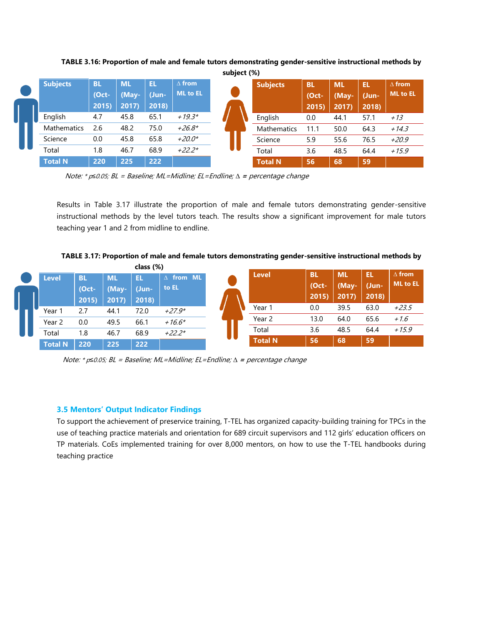

<span id="page-35-1"></span>**TABLE 3.16: Proportion of male and female tutors demonstrating gender-sensitive instructional methods by** 

Note: \* p*≤*0.05; BL = Baseline; ML=Midline; EL=Endline; *∆* **<sup>=</sup>**percentage change

Results in Table 3.17 illustrate the proportion of male and female tutors demonstrating gender-sensitive instructional methods by the level tutors teach. The results show a significant improvement for male tutors teaching year 1 and 2 from midline to endline.

<span id="page-35-2"></span>**TABLE 3.17: Proportion of male and female tutors demonstrating gender-sensitive instructional methods by class (%)**

|                |                   |               | Class (%)      |                  |                |                       |               |                 |                                  |
|----------------|-------------------|---------------|----------------|------------------|----------------|-----------------------|---------------|-----------------|----------------------------------|
| <b>Level</b>   | <b>BL</b>         | <b>ML</b>     | EL             | $\Delta$ from ML | <b>Level</b>   | <b>BL</b><br>$(Oct -$ | <b>ML</b>     | ŒĽ              | $\Delta$ from<br><b>ML</b> to EL |
|                | $(Oct -$<br>2015) | (May-<br>2017 | (Jun-<br>2018) | to EL            |                | 2015)                 | (May-<br>2017 | (Jun-)<br>2018) |                                  |
| Year 1         | 2.7               | 44.1          | 72.0           | $+27.9*$         | Year 1         | 0.0                   | 39.5          | 63.0            | $+23.5$                          |
| Year 2         | 0.0               | 49.5          | 66.1           | $+16.6*$         | Year 2         | 13.0                  | 64.0          | 65.6            | $+1.6$                           |
| Total          | 1.8               | 46.7          | 68.9           | $+22.2*$         | Total          | 3.6                   | 48.5          | 64.4            | $+15.9$                          |
| <b>Total N</b> | 220               | 225           | 222            |                  | <b>Total N</b> | 56                    | 68            | 59              |                                  |

Note: \* p*≤*0.05; BL = Baseline; ML=Midline; EL=Endline; *∆* **<sup>=</sup>**percentage change

## <span id="page-35-0"></span>**3.5 Mentors' Output Indicator Findings**

To support the achievement of preservice training, T-TEL has organized capacity-building training for TPCs in the use of teaching practice materials and orientation for 689 circuit supervisors and 112 girls' education officers on TP materials. CoEs implemented training for over 8,000 mentors, on how to use the T-TEL handbooks during teaching practice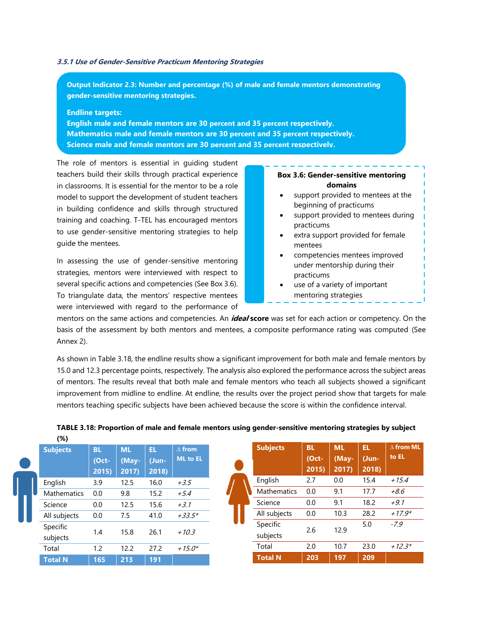#### <span id="page-36-0"></span>**3.5.1 Use of Gender-Sensitive Practicum Mentoring Strategies**

**Output Indicator 2.3: Number and percentage (%) of male and female mentors demonstrating gender-sensitive mentoring strategies.**

#### **Endline targets:**

**Total N 165 213 191**

**English male and female mentors are 30 percent and 35 percent respectively. Mathematics male and female mentors are 30 percent and 35 percent respectively. Science male and female mentors are 30 percent and 35 percent respectively.**

The role of mentors is essential in guiding student teachers build their skills through practical experience in classrooms. It is essential for the mentor to be a role model to support the development of student teachers in building confidence and skills through structured training and coaching. T-TEL has encouraged mentors to use gender-sensitive mentoring strategies to help guide the mentees.

In assessing the use of gender-sensitive mentoring strategies, mentors were interviewed with respect to several specific actions and competencies (See Box 3.6). To triangulate data, the mentors' respective mentees were interviewed with regard to the performance of

#### **Box 3.6: Gender-sensitive mentoring domains**

- support provided to mentees at the beginning of practicums
- support provided to mentees during practicums
- extra support provided for female mentees
- competencies mentees improved under mentorship during their practicums
- use of a variety of important mentoring strategies

**Total N 203 197 209**

mentors on the same actions and competencies. An **ideal score** was set for each action or competency. On the basis of the assessment by both mentors and mentees, a composite performance rating was computed (See Annex 2).

As shown in Table 3.18, the endline results show a significant improvement for both male and female mentors by 15.0 and 12.3 percentage points, respectively. The analysis also explored the performance across the subject areas of mentors. The results reveal that both male and female mentors who teach all subjects showed a significant improvement from midline to endline. At endline, the results over the project period show that targets for male mentors teaching specific subjects have been achieved because the score is within the confidence interval.

| $(\%)$             |           |           |       |               |
|--------------------|-----------|-----------|-------|---------------|
| <b>Subjects</b>    | <b>BL</b> | <b>ML</b> | EL    | $\Delta$ from |
|                    | (Oct-     | (May-     | (Jun- | ML to EL      |
|                    | 2015)     | 2017      | 2018) |               |
| English            | 3.9       | 12.5      | 16.0  | $+3.5$        |
| <b>Mathematics</b> | 0.0       | 9.8       | 15.2  | $+5.4$        |
| Science            | 0.0       | 12.5      | 15.6  | $+3.1$        |
| All subjects       | 0.0       | 7.5       | 41.0  | $+33.5*$      |
| Specific           |           |           |       |               |
| subjects           | 1.4       | 15.8      | 26.1  | $+10.3$       |
| Total              | 1.2       | 12.2      | 27.2  | $+15.0*$      |

## <span id="page-36-1"></span>**TABLE 3.18: Proportion of male and female mentors using gender-sensitive mentoring strategies by subject**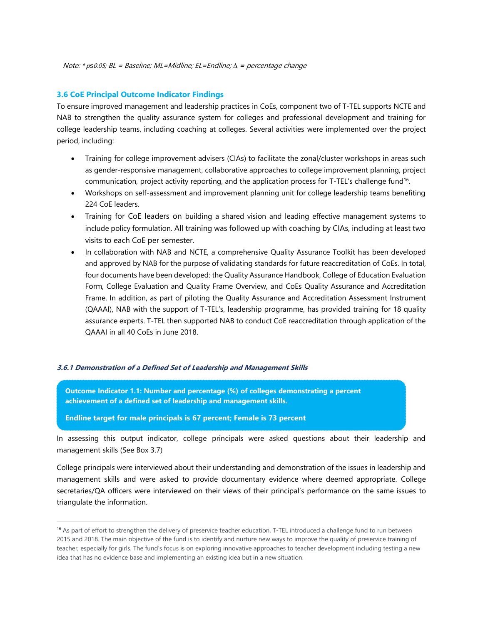Note: \* p*≤*0.05; BL = Baseline; ML=Midline; EL=Endline; *∆* **<sup>=</sup>**percentage change

#### <span id="page-37-0"></span>**3.6 CoE Principal Outcome Indicator Findings**

To ensure improved management and leadership practices in CoEs, component two of T-TEL supports NCTE and NAB to strengthen the quality assurance system for colleges and professional development and training for college leadership teams, including coaching at colleges. Several activities were implemented over the project period, including:

- Training for college improvement advisers (CIAs) to facilitate the zonal/cluster workshops in areas such as gender-responsive management, collaborative approaches to college improvement planning, project communication, project activity reporting, and the application process for T-TEL's challenge fund<sup>16</sup> .
- Workshops on self-assessment and improvement planning unit for college leadership teams benefiting 224 CoE leaders.
- Training for CoE leaders on building a shared vision and leading effective management systems to include policy formulation. All training was followed up with coaching by CIAs, including at least two visits to each CoE per semester.
- In collaboration with NAB and NCTE, a comprehensive Quality Assurance Toolkit has been developed and approved by NAB for the purpose of validating standards for future reaccreditation of CoEs. In total, four documents have been developed: the Quality Assurance Handbook, College of Education Evaluation Form, College Evaluation and Quality Frame Overview, and CoEs Quality Assurance and Accreditation Frame. In addition, as part of piloting the Quality Assurance and Accreditation Assessment Instrument (QAAAI), NAB with the support of T-TEL's, leadership programme, has provided training for 18 quality assurance experts. T-TEL then supported NAB to conduct CoE reaccreditation through application of the QAAAI in all 40 CoEs in June 2018.

#### <span id="page-37-1"></span>**3.6.1 Demonstration of a Defined Set of Leadership and Management Skills**

**Outcome Indicator 1.1: Number and percentage (%) of colleges demonstrating a percent achievement of a defined set of leadership and management skills.**

**Endline target for male principals is 67 percent; Female is 73 percent**

l

In assessing this output indicator, college principals were asked questions about their leadership and management skills (See Box 3.7)

College principals were interviewed about their understanding and demonstration of the issues in leadership and management skills and were asked to provide documentary evidence where deemed appropriate. College secretaries/QA officers were interviewed on their views of their principal's performance on the same issues to triangulate the information.

<sup>&</sup>lt;sup>16</sup> As part of effort to strengthen the delivery of preservice teacher education, T-TEL introduced a challenge fund to run between 2015 and 2018. The main objective of the fund is to identify and nurture new ways to improve the quality of preservice training of teacher, especially for girls. The fund's focus is on exploring innovative approaches to teacher development including testing a new idea that has no evidence base and implementing an existing idea but in a new situation.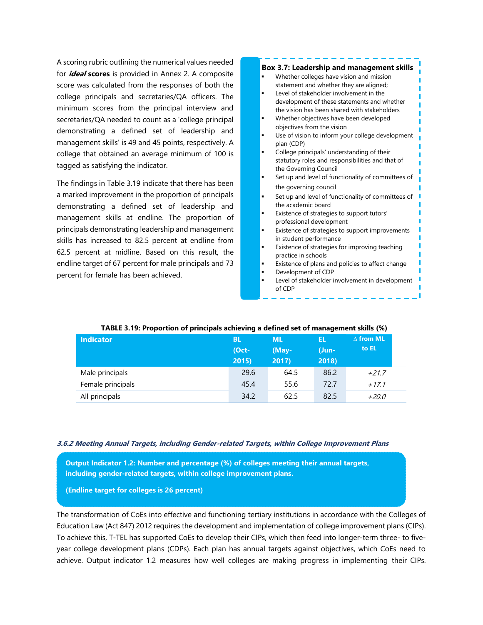A scoring rubric outlining the numerical values needed for **ideal scores** is provided in Annex 2. A composite score was calculated from the responses of both the college principals and secretaries/QA officers. The minimum scores from the principal interview and secretaries/QA needed to count as a 'college principal demonstrating a defined set of leadership and management skills' is 49 and 45 points, respectively. A college that obtained an average minimum of 100 is tagged as satisfying the indicator.

The findings in Table 3.19 indicate that there has been a marked improvement in the proportion of principals demonstrating a defined set of leadership and management skills at endline. The proportion of principals demonstrating leadership and management skills has increased to 82.5 percent at endline from 62.5 percent at midline. Based on this result, the endline target of 67 percent for male principals and 73 percent for female has been achieved.

#### **Box 3.7: Leadership and management skills**

- Whether colleges have vision and mission statement and whether they are aligned;
- Level of stakeholder involvement in the development of these statements and whether the vision has been shared with stakeholders
- Whether objectives have been developed objectives from the vision
- Use of vision to inform your college development plan (CDP)
- College principals' understanding of their statutory roles and responsibilities and that of the Governing Council
- Set up and level of functionality of committees of the governing council
- Set up and level of functionality of committees of the academic board
- Existence of strategies to support tutors' professional development
- Existence of strategies to support improvements in student performance
- Existence of strategies for improving teaching practice in schools
- Existence of plans and policies to affect change Development of CDP
- Level of stakeholder involvement in development of CDP

#### <span id="page-38-1"></span> **TABLE 3.19: Proportion of principals achieving a defined set of management skills (%)**

| <b>Indicator</b>  | <b>BL</b><br>$(Oct -$<br>2015) | <b>ML</b><br>(May-<br>2017 | EL<br>(Jun-<br>2018) | $\Delta$ from ML<br>to EL |
|-------------------|--------------------------------|----------------------------|----------------------|---------------------------|
| Male principals   | 29.6                           | 64.5                       | 86.2                 | $+21.7$                   |
| Female principals | 45.4                           | 55.6                       | 72.7                 | $+17.1$                   |
| All principals    | 34.2                           | 62.5                       | 82.5                 | $+20.0$                   |

#### <span id="page-38-0"></span>**3.6.2 Meeting Annual Targets, including Gender-related Targets, within College Improvement Plans**

**Output Indicator 1.2: Number and percentage (%) of colleges meeting their annual targets, including gender-related targets, within college improvement plans.**

**(Endline target for colleges is 26 percent)**

The transformation of CoEs into effective and functioning tertiary institutions in accordance with the Colleges of Education Law (Act 847) 2012 requires the development and implementation of college improvement plans (CIPs). To achieve this, T-TEL has supported CoEs to develop their CIPs, which then feed into longer-term three- to fiveyear college development plans (CDPs). Each plan has annual targets against objectives, which CoEs need to achieve. Output indicator 1.2 measures how well colleges are making progress in implementing their CIPs.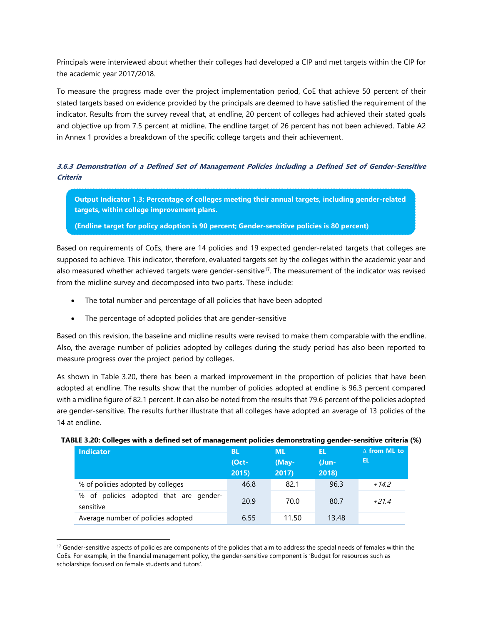Principals were interviewed about whether their colleges had developed a CIP and met targets within the CIP for the academic year 2017/2018.

To measure the progress made over the project implementation period, CoE that achieve 50 percent of their stated targets based on evidence provided by the principals are deemed to have satisfied the requirement of the indicator. Results from the survey reveal that, at endline, 20 percent of colleges had achieved their stated goals and objective up from 7.5 percent at midline. The endline target of 26 percent has not been achieved. Table A2 in Annex 1 provides a breakdown of the specific college targets and their achievement.

## <span id="page-39-0"></span>**3.6.3 Demonstration of a Defined Set of Management Policies including a Defined Set of Gender-Sensitive Criteria**

**Output Indicator 1.3: Percentage of colleges meeting their annual targets, including gender-related targets, within college improvement plans.**

**(Endline target for policy adoption is 90 percent; Gender-sensitive policies is 80 percent)** 

Based on requirements of CoEs, there are 14 policies and 19 expected gender-related targets that colleges are supposed to achieve. This indicator, therefore, evaluated targets set by the colleges within the academic year and also measured whether achieved targets were gender-sensitive<sup>17</sup>. The measurement of the indicator was revised from the midline survey and decomposed into two parts. These include:

- The total number and percentage of all policies that have been adopted
- The percentage of adopted policies that are gender-sensitive

l

Based on this revision, the baseline and midline results were revised to make them comparable with the endline. Also, the average number of policies adopted by colleges during the study period has also been reported to measure progress over the project period by colleges.

As shown in Table 3.20, there has been a marked improvement in the proportion of policies that have been adopted at endline. The results show that the number of policies adopted at endline is 96.3 percent compared with a midline figure of 82.1 percent. It can also be noted from the results that 79.6 percent of the policies adopted are gender-sensitive. The results further illustrate that all colleges have adopted an average of 13 policies of the 14 at endline.

<span id="page-39-1"></span>

| <b>Indicator</b>                                       | <b>BL</b><br>$Oct-$<br>2015 | <b>ML</b><br>(May-<br>2017 | ΈL<br>$U$ un-<br>2018) | $\Delta$ from ML to<br>EL |
|--------------------------------------------------------|-----------------------------|----------------------------|------------------------|---------------------------|
| % of policies adopted by colleges                      | 46.8                        | 82.1                       | 96.3                   | +14.2                     |
| of policies adopted that are gender-<br>%<br>sensitive | 20.9                        | 70.0                       | 80.7                   | +21.4                     |
| Average number of policies adopted                     | 6.55                        | 11.50                      | 13.48                  |                           |

 $17$  Gender-sensitive aspects of policies are components of the policies that aim to address the special needs of females within the CoEs. For example, in the financial management policy, the gender-sensitive component is 'Budget for resources such as scholarships focused on female students and tutors'.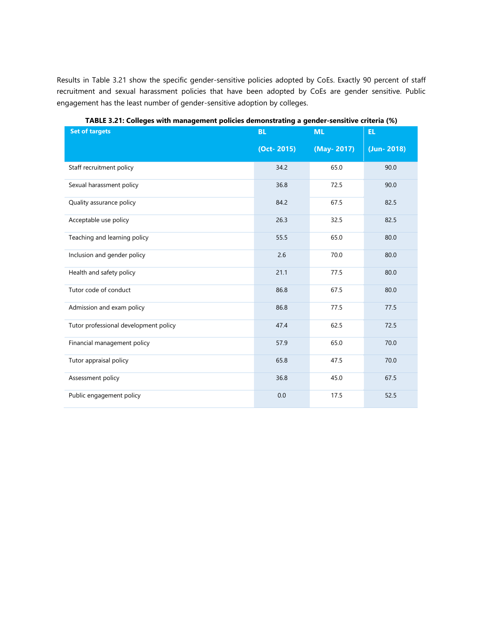Results in Table 3.21 show the specific gender-sensitive policies adopted by CoEs. Exactly 90 percent of staff recruitment and sexual harassment policies that have been adopted by CoEs are gender sensitive. Public engagement has the least number of gender-sensitive adoption by colleges.

<span id="page-40-0"></span>

| <b>Set of targets</b>                 | <b>BL</b>      | <b>ML</b>  | EL.        |
|---------------------------------------|----------------|------------|------------|
|                                       | $(Oct - 2015)$ | (May-2017) | (Jun-2018) |
| Staff recruitment policy              | 34.2           | 65.0       | 90.0       |
| Sexual harassment policy              | 36.8           | 72.5       | 90.0       |
| Quality assurance policy              | 84.2           | 67.5       | 82.5       |
| Acceptable use policy                 | 26.3           | 32.5       | 82.5       |
| Teaching and learning policy          | 55.5           | 65.0       | 80.0       |
| Inclusion and gender policy           | 2.6            | 70.0       | 80.0       |
| Health and safety policy              | 21.1           | 77.5       | 80.0       |
| Tutor code of conduct                 | 86.8           | 67.5       | 80.0       |
| Admission and exam policy             | 86.8           | 77.5       | 77.5       |
| Tutor professional development policy | 47.4           | 62.5       | 72.5       |
| Financial management policy           | 57.9           | 65.0       | 70.0       |
| Tutor appraisal policy                | 65.8           | 47.5       | 70.0       |
| Assessment policy                     | 36.8           | 45.0       | 67.5       |
| Public engagement policy              | 0.0            | 17.5       | 52.5       |

**TABLE 3.21: Colleges with management policies demonstrating a gender-sensitive criteria (%)**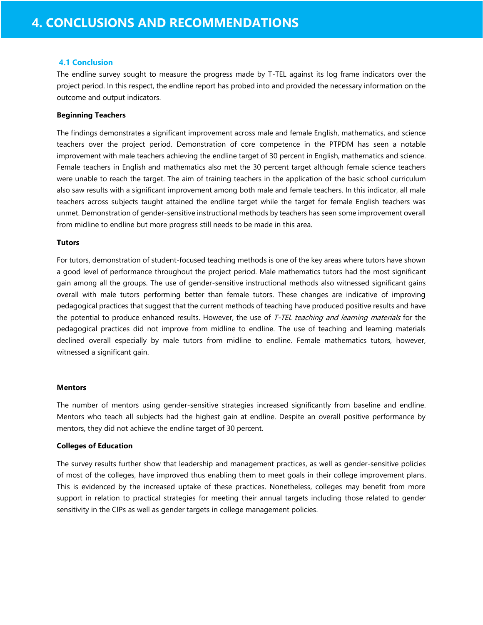#### <span id="page-41-0"></span>**4.1 Conclusion**

The endline survey sought to measure the progress made by T-TEL against its log frame indicators over the project period. In this respect, the endline report has probed into and provided the necessary information on the outcome and output indicators.

#### **Beginning Teachers**

The findings demonstrates a significant improvement across male and female English, mathematics, and science teachers over the project period. Demonstration of core competence in the PTPDM has seen a notable improvement with male teachers achieving the endline target of 30 percent in English, mathematics and science. Female teachers in English and mathematics also met the 30 percent target although female science teachers were unable to reach the target. The aim of training teachers in the application of the basic school curriculum also saw results with a significant improvement among both male and female teachers. In this indicator, all male teachers across subjects taught attained the endline target while the target for female English teachers was unmet. Demonstration of gender-sensitive instructional methods by teachers has seen some improvement overall from midline to endline but more progress still needs to be made in this area.

#### **Tutors**

For tutors, demonstration of student-focused teaching methods is one of the key areas where tutors have shown a good level of performance throughout the project period. Male mathematics tutors had the most significant gain among all the groups. The use of gender-sensitive instructional methods also witnessed significant gains overall with male tutors performing better than female tutors. These changes are indicative of improving pedagogical practices that suggest that the current methods of teaching have produced positive results and have the potential to produce enhanced results. However, the use of T-TEL teaching and learning materials for the pedagogical practices did not improve from midline to endline. The use of teaching and learning materials declined overall especially by male tutors from midline to endline. Female mathematics tutors, however, witnessed a significant gain.

#### **Mentors**

The number of mentors using gender-sensitive strategies increased significantly from baseline and endline. Mentors who teach all subjects had the highest gain at endline. Despite an overall positive performance by mentors, they did not achieve the endline target of 30 percent.

#### **Colleges of Education**

The survey results further show that leadership and management practices, as well as gender-sensitive policies of most of the colleges, have improved thus enabling them to meet goals in their college improvement plans. This is evidenced by the increased uptake of these practices. Nonetheless, colleges may benefit from more support in relation to practical strategies for meeting their annual targets including those related to gender sensitivity in the CIPs as well as gender targets in college management policies.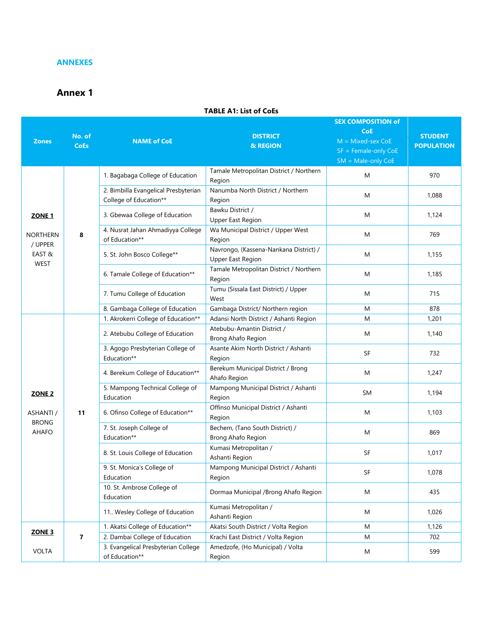#### <span id="page-42-0"></span>**ANNEXES**

## <span id="page-42-1"></span>**Annex 1**

#### **Zones No. of CoEs NAME of CoE DISTRICT & REGION SEX COMPOSITION of CoE STUDENT POPULATION** M = Mixed-sex CoE SF = Female-only CoE SM = Male-only CoE **ZONE 1** NORTHERN / UPPER EAST & WEST **8** 1. Bagabaga College of Education Tamale Metropolitan District / Northern Region M 970 2. Bimbilla Evangelical Presbyterian College of Education\*\* Nanumba North District / Northern Region M 1,088 3. Gbewaa College of Education Bawku District / Upper East Region M 1.124 4. Nusrat Jahan Ahmadiyya College of Education\*\* Wa Municipal District / Upper West Region M 769 5. St. John Bosco College\*\* Navrongo, (Kassena-Nankana District) / Upper East Region M 1,155 6. Tamale College of Education\*\* Tamale Metropolitan District / Northern Region M 1,185 7. Tumu College of Education Tumu (Sissala East District) / Upper West M 715 8. Gambaga College of Education Gambaga District/ Northern region M M 878 **ZONE 2** ASHANTI / BRONG AHAFO **11** 1. Akrokerri College of Education\*\* | Adansi North District / Ashanti Region | M 1,201 2. Atebubu College of Education Atebubu-Amantin District / Brong Ahafo Region M 1,140 3. Agogo Presbyterian College of Education\*\* Asante Akim North District / Ashanti Region SF 732 4. Berekum College of Education\*\* Berekum Municipal District / Brong Ahafo Region M  $1,247$ 5. Mampong Technical College of Education Mampong Municipal District / Ashanti Region SM 1.194 6. Ofinso College of Education\*\* Offinso Municipal District / Ashanti Region M 1,103 7. St. Joseph College of Education\*\* Bechem, (Tano South District) / Brong Ahafo Region M 869 8. St. Louis College of Education Kumasi Metropolitan / Ashanti Region SF 1.017 9. St. Monica's College of Education Mampong Municipal District / Ashanti Region SF 1,078 10. St. Ambrose College of Education Dormaa Municipal /Brong Ahafo Region M M 435 11.. Wesley College of Education Kumasi Metropolitan / Ashanti Region M 1,026 **ZONE 3** VOLTA **7** 1. Akatsi College of Education\*\* | Akatsi South District / Volta Region | M 1,126 2. Dambai College of Education | Krachi East District / Volta Region M M 702 3. Evangelical Presbyterian College of Education\*\* Amedzofe, (Ho Municipal) / Volta Region M 599

#### **TABLE A1: List of CoEs**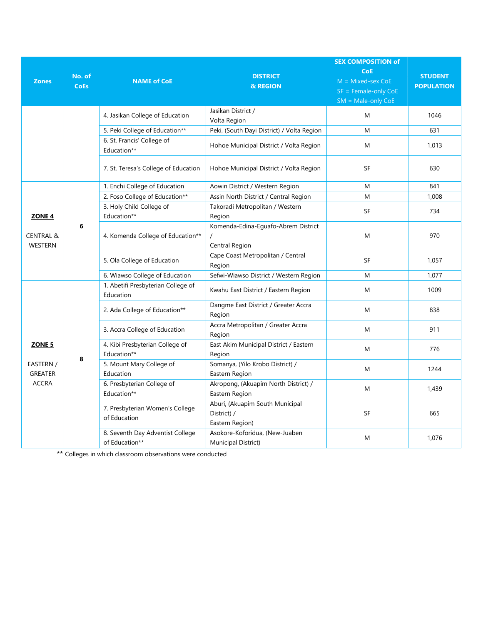|                                                             |                       |                                                    |                                                                   | <b>SEX COMPOSITION of</b>                                                            |                                     |
|-------------------------------------------------------------|-----------------------|----------------------------------------------------|-------------------------------------------------------------------|--------------------------------------------------------------------------------------|-------------------------------------|
| <b>Zones</b>                                                | No. of<br><b>CoEs</b> | <b>NAME of CoE</b>                                 | <b>DISTRICT</b><br>& REGION                                       | <b>CoE</b><br>$M = Mixed$ -sex CoE<br>$SF = Female-only CoE$<br>$SM = Male-only CoE$ | <b>STUDENT</b><br><b>POPULATION</b> |
|                                                             |                       | 4. Jasikan College of Education                    | Jasikan District /<br>Volta Region                                | M                                                                                    | 1046                                |
|                                                             |                       | 5. Peki College of Education**                     | Peki, (South Dayi District) / Volta Region                        | M                                                                                    | 631                                 |
|                                                             |                       | 6. St. Francis' College of<br>Education**          | Hohoe Municipal District / Volta Region                           | M                                                                                    | 1,013                               |
|                                                             |                       | 7. St. Teresa's College of Education               | Hohoe Municipal District / Volta Region                           | <b>SF</b>                                                                            | 630                                 |
|                                                             | 6                     | 1. Enchi College of Education                      | Aowin District / Western Region                                   | M                                                                                    | 841                                 |
|                                                             |                       | 2. Foso College of Education**                     | Assin North District / Central Region                             | M                                                                                    | 1,008                               |
| ZONE <sub>4</sub><br><b>CENTRAL &amp;</b><br><b>WESTERN</b> |                       | 3. Holy Child College of<br>Education**            | Takoradi Metropolitan / Western<br>Region                         | <b>SF</b>                                                                            | 734                                 |
|                                                             |                       | 4. Komenda College of Education**                  | Komenda-Edina-Eguafo-Abrem District<br>Central Region             | M                                                                                    | 970                                 |
|                                                             |                       | 5. Ola College of Education                        | Cape Coast Metropolitan / Central<br>Region                       | <b>SF</b>                                                                            | 1,057                               |
|                                                             |                       | 6. Wiawso College of Education                     | Sefwi-Wiawso District / Western Region                            | M                                                                                    | 1,077                               |
| ZONE 5<br>EASTERN /<br><b>GREATER</b><br><b>ACCRA</b>       | 8                     | 1. Abetifi Presbyterian College of<br>Education    | Kwahu East District / Eastern Region                              | M                                                                                    | 1009                                |
|                                                             |                       | 2. Ada College of Education**                      | Dangme East District / Greater Accra<br>Region                    | M                                                                                    | 838                                 |
|                                                             |                       | 3. Accra College of Education                      | Accra Metropolitan / Greater Accra<br>Region                      | M                                                                                    | 911                                 |
|                                                             |                       | 4. Kibi Presbyterian College of<br>Education**     | East Akim Municipal District / Eastern<br>Region                  | M                                                                                    | 776                                 |
|                                                             |                       | 5. Mount Mary College of<br>Education              | Somanya, (Yilo Krobo District) /<br>Eastern Region                | M                                                                                    | 1244                                |
|                                                             |                       | 6. Presbyterian College of<br>Education**          | Akropong, (Akuapim North District) /<br>Eastern Region            | M                                                                                    | 1,439                               |
|                                                             |                       | 7. Presbyterian Women's College<br>of Education    | Aburi, (Akuapim South Municipal<br>District) /<br>Eastern Region) | SF                                                                                   | 665                                 |
|                                                             |                       | 8. Seventh Day Adventist College<br>of Education** | Asokore-Koforidua, (New-Juaben<br>Municipal District)             | M                                                                                    | 1,076                               |

\*\* Colleges in which classroom observations were conducted